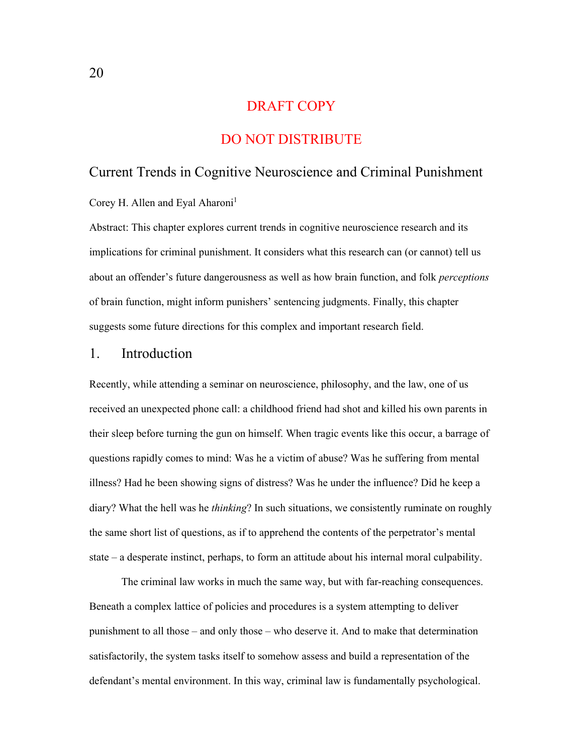### DRAFT COPY

### DO NOT DISTRIBUTE

## Current Trends in Cognitive Neuroscience and Criminal Punishment

Corey H. Allen and Eyal Aharoni<sup>1</sup>

Abstract: This chapter explores current trends in cognitive neuroscience research and its implications for criminal punishment. It considers what this research can (or cannot) tell us about an offender's future dangerousness as well as how brain function, and folk *perceptions*  of brain function, might inform punishers' sentencing judgments. Finally, this chapter suggests some future directions for this complex and important research field.

### 1. Introduction

Recently, while attending a seminar on neuroscience, philosophy, and the law, one of us received an unexpected phone call: a childhood friend had shot and killed his own parents in their sleep before turning the gun on himself. When tragic events like this occur, a barrage of questions rapidly comes to mind: Was he a victim of abuse? Was he suffering from mental illness? Had he been showing signs of distress? Was he under the influence? Did he keep a diary? What the hell was he *thinking*? In such situations, we consistently ruminate on roughly the same short list of questions, as if to apprehend the contents of the perpetrator's mental state *–* a desperate instinct, perhaps, to form an attitude about his internal moral culpability.

The criminal law works in much the same way, but with far-reaching consequences. Beneath a complex lattice of policies and procedures is a system attempting to deliver punishment to all those – and only those – who deserve it. And to make that determination satisfactorily, the system tasks itself to somehow assess and build a representation of the defendant's mental environment. In this way, criminal law is fundamentally psychological.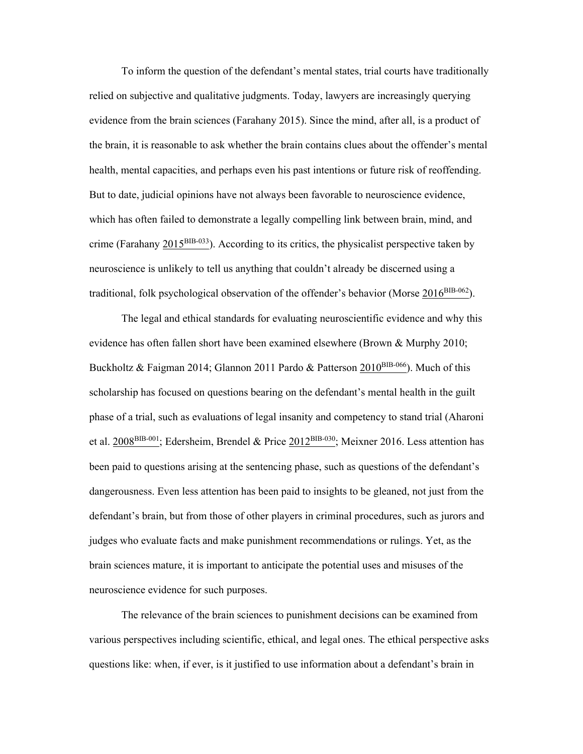To inform the question of the defendant's mental states, trial courts have traditionally relied on subjective and qualitative judgments. Today, lawyers are increasingly querying evidence from the brain sciences (Farahany 2015). Since the mind, after all, is a product of the brain, it is reasonable to ask whether the brain contains clues about the offender's mental health, mental capacities, and perhaps even his past intentions or future risk of reoffending. But to date, judicial opinions have not always been favorable to neuroscience evidence, which has often failed to demonstrate a legally compelling link between brain, mind, and crime (Farahany  $2015^{BB-033}$ ). According to its critics, the physicalist perspective taken by neuroscience is unlikely to tell us anything that couldn't already be discerned using a traditional, folk psychological observation of the offender's behavior (Morse  $2016^{BB-062}$ ).

The legal and ethical standards for evaluating neuroscientific evidence and why this evidence has often fallen short have been examined elsewhere (Brown & Murphy 2010; Buckholtz & Faigman 2014; Glannon 2011 Pardo & Patterson 2010<sup>BIB-066</sup>). Much of this scholarship has focused on questions bearing on the defendant's mental health in the guilt phase of a trial, such as evaluations of legal insanity and competency to stand trial (Aharoni et al. 2008<sup>BIB-001</sup>; Edersheim, Brendel & Price 2012<sup>BIB-030</sup>; Meixner 2016. Less attention has been paid to questions arising at the sentencing phase, such as questions of the defendant's dangerousness. Even less attention has been paid to insights to be gleaned, not just from the defendant's brain, but from those of other players in criminal procedures, such as jurors and judges who evaluate facts and make punishment recommendations or rulings. Yet, as the brain sciences mature, it is important to anticipate the potential uses and misuses of the neuroscience evidence for such purposes.

The relevance of the brain sciences to punishment decisions can be examined from various perspectives including scientific, ethical, and legal ones. The ethical perspective asks questions like: when, if ever, is it justified to use information about a defendant's brain in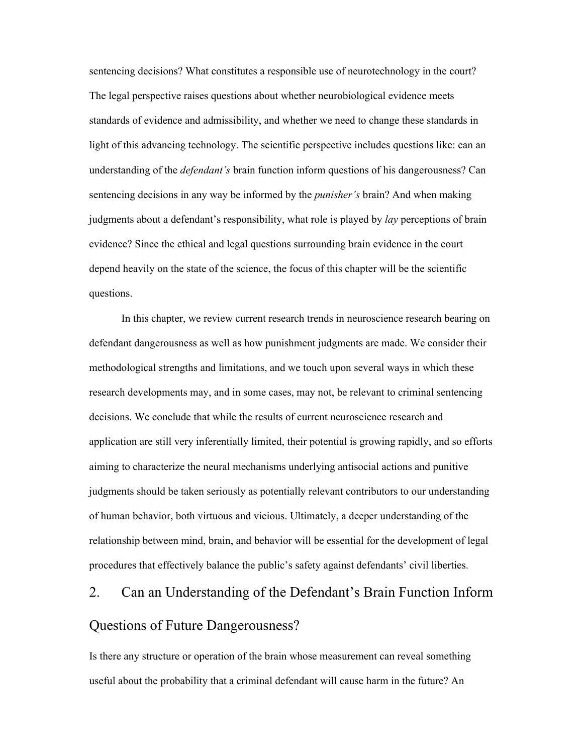sentencing decisions? What constitutes a responsible use of neurotechnology in the court? The legal perspective raises questions about whether neurobiological evidence meets standards of evidence and admissibility, and whether we need to change these standards in light of this advancing technology. The scientific perspective includes questions like: can an understanding of the *defendant's* brain function inform questions of his dangerousness? Can sentencing decisions in any way be informed by the *punisher's* brain? And when making judgments about a defendant's responsibility, what role is played by *lay* perceptions of brain evidence? Since the ethical and legal questions surrounding brain evidence in the court depend heavily on the state of the science, the focus of this chapter will be the scientific questions.

In this chapter, we review current research trends in neuroscience research bearing on defendant dangerousness as well as how punishment judgments are made. We consider their methodological strengths and limitations, and we touch upon several ways in which these research developments may, and in some cases, may not, be relevant to criminal sentencing decisions. We conclude that while the results of current neuroscience research and application are still very inferentially limited, their potential is growing rapidly, and so efforts aiming to characterize the neural mechanisms underlying antisocial actions and punitive judgments should be taken seriously as potentially relevant contributors to our understanding of human behavior, both virtuous and vicious. Ultimately, a deeper understanding of the relationship between mind, brain, and behavior will be essential for the development of legal procedures that effectively balance the public's safety against defendants' civil liberties.

## 2. Can an Understanding of the Defendant's Brain Function Inform Questions of Future Dangerousness?

Is there any structure or operation of the brain whose measurement can reveal something useful about the probability that a criminal defendant will cause harm in the future? An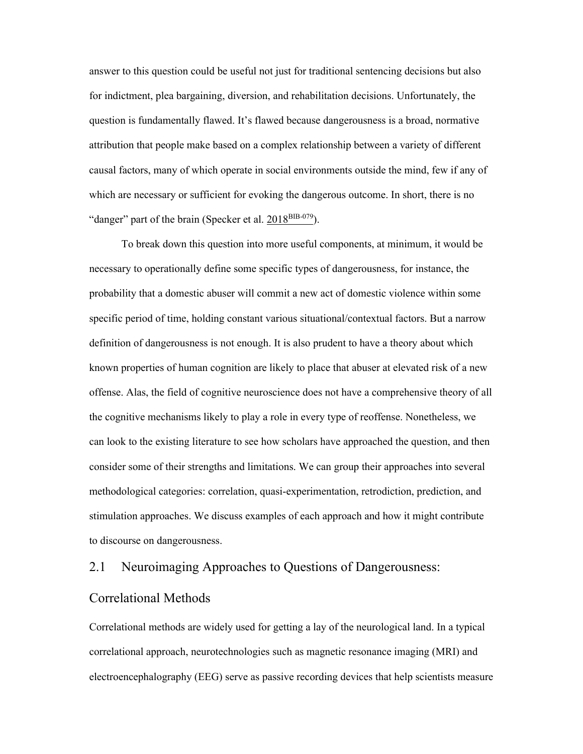answer to this question could be useful not just for traditional sentencing decisions but also for indictment, plea bargaining, diversion, and rehabilitation decisions. Unfortunately, the question is fundamentally flawed. It's flawed because dangerousness is a broad, normative attribution that people make based on a complex relationship between a variety of different causal factors, many of which operate in social environments outside the mind, few if any of which are necessary or sufficient for evoking the dangerous outcome. In short, there is no "danger" part of the brain (Specker et al.  $2018^{BIB-079}$ ).

To break down this question into more useful components, at minimum, it would be necessary to operationally define some specific types of dangerousness, for instance, the probability that a domestic abuser will commit a new act of domestic violence within some specific period of time, holding constant various situational/contextual factors. But a narrow definition of dangerousness is not enough. It is also prudent to have a theory about which known properties of human cognition are likely to place that abuser at elevated risk of a new offense. Alas, the field of cognitive neuroscience does not have a comprehensive theory of all the cognitive mechanisms likely to play a role in every type of reoffense. Nonetheless, we can look to the existing literature to see how scholars have approached the question, and then consider some of their strengths and limitations. We can group their approaches into several methodological categories: correlation, quasi-experimentation, retrodiction, prediction, and stimulation approaches. We discuss examples of each approach and how it might contribute to discourse on dangerousness.

#### 2.1 Neuroimaging Approaches to Questions of Dangerousness:

#### Correlational Methods

Correlational methods are widely used for getting a lay of the neurological land. In a typical correlational approach, neurotechnologies such as magnetic resonance imaging (MRI) and electroencephalography (EEG) serve as passive recording devices that help scientists measure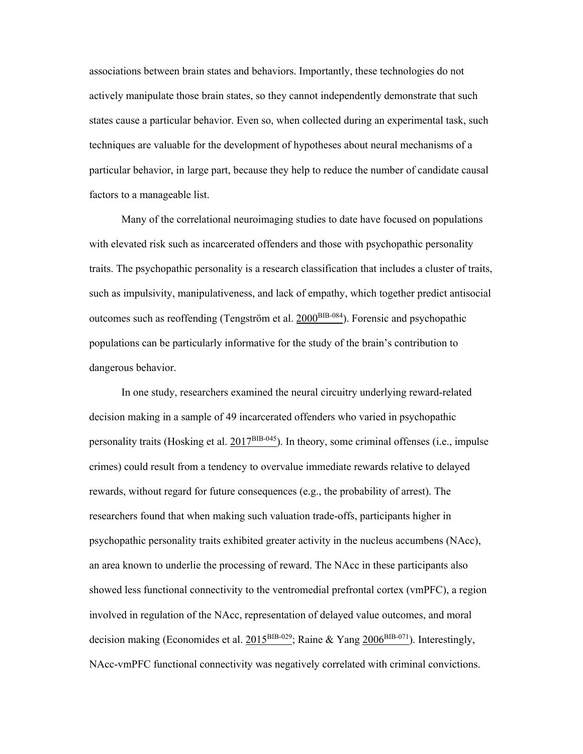associations between brain states and behaviors. Importantly, these technologies do not actively manipulate those brain states, so they cannot independently demonstrate that such states cause a particular behavior. Even so, when collected during an experimental task, such techniques are valuable for the development of hypotheses about neural mechanisms of a particular behavior, in large part, because they help to reduce the number of candidate causal factors to a manageable list.

Many of the correlational neuroimaging studies to date have focused on populations with elevated risk such as incarcerated offenders and those with psychopathic personality traits. The psychopathic personality is a research classification that includes a cluster of traits, such as impulsivity, manipulativeness, and lack of empathy, which together predict antisocial outcomes such as reoffending (Tengström et al.  $2000<sup>BIB-084</sup>$ ). Forensic and psychopathic populations can be particularly informative for the study of the brain's contribution to dangerous behavior.

In one study, researchers examined the neural circuitry underlying reward-related decision making in a sample of 49 incarcerated offenders who varied in psychopathic personality traits (Hosking et al.  $2017^{BB-045}$ ). In theory, some criminal offenses (i.e., impulse crimes) could result from a tendency to overvalue immediate rewards relative to delayed rewards, without regard for future consequences (e.g., the probability of arrest). The researchers found that when making such valuation trade-offs, participants higher in psychopathic personality traits exhibited greater activity in the nucleus accumbens (NAcc), an area known to underlie the processing of reward. The NAcc in these participants also showed less functional connectivity to the ventromedial prefrontal cortex (vmPFC), a region involved in regulation of the NAcc, representation of delayed value outcomes, and moral decision making (Economides et al. 2015<sup>BIB-029</sup>; Raine & Yang 2006<sup>BIB-071</sup>). Interestingly, NAcc-vmPFC functional connectivity was negatively correlated with criminal convictions.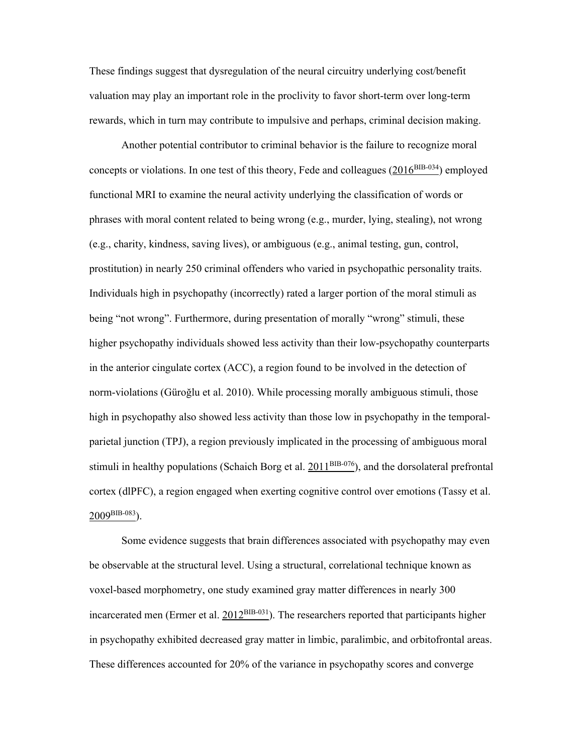These findings suggest that dysregulation of the neural circuitry underlying cost/benefit valuation may play an important role in the proclivity to favor short-term over long-term rewards, which in turn may contribute to impulsive and perhaps, criminal decision making.

Another potential contributor to criminal behavior is the failure to recognize moral concepts or violations. In one test of this theory, Fede and colleagues  $(2016^{BIB-034})$  employed functional MRI to examine the neural activity underlying the classification of words or phrases with moral content related to being wrong (e.g., murder, lying, stealing), not wrong (e.g., charity, kindness, saving lives), or ambiguous (e.g., animal testing, gun, control, prostitution) in nearly 250 criminal offenders who varied in psychopathic personality traits. Individuals high in psychopathy (incorrectly) rated a larger portion of the moral stimuli as being "not wrong". Furthermore, during presentation of morally "wrong" stimuli, these higher psychopathy individuals showed less activity than their low-psychopathy counterparts in the anterior cingulate cortex (ACC), a region found to be involved in the detection of norm-violations (Güroğlu et al. 2010). While processing morally ambiguous stimuli, those high in psychopathy also showed less activity than those low in psychopathy in the temporalparietal junction (TPJ), a region previously implicated in the processing of ambiguous moral stimuli in healthy populations (Schaich Borg et al.  $2011^{BB-076}$ ), and the dorsolateral prefrontal cortex (dlPFC), a region engaged when exerting cognitive control over emotions (Tassy et al.  $2009^{BIB-083}$ ).

Some evidence suggests that brain differences associated with psychopathy may even be observable at the structural level. Using a structural, correlational technique known as voxel-based morphometry, one study examined gray matter differences in nearly 300 incarcerated men (Ermer et al.  $2012^{BIB-031}$ ). The researchers reported that participants higher in psychopathy exhibited decreased gray matter in limbic, paralimbic, and orbitofrontal areas. These differences accounted for 20% of the variance in psychopathy scores and converge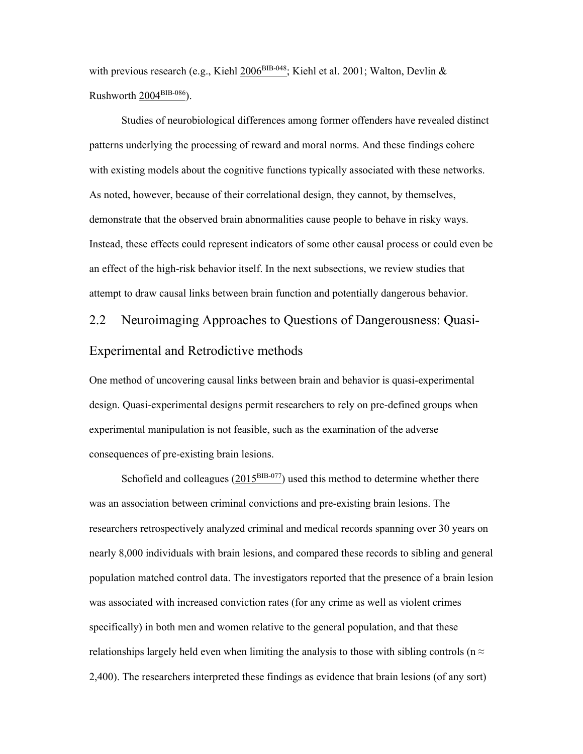with previous research (e.g., Kiehl 2006<sup>BIB-048</sup>; Kiehl et al. 2001; Walton, Devlin & Rushworth 2004BIB-086).

Studies of neurobiological differences among former offenders have revealed distinct patterns underlying the processing of reward and moral norms. And these findings cohere with existing models about the cognitive functions typically associated with these networks. As noted, however, because of their correlational design, they cannot, by themselves, demonstrate that the observed brain abnormalities cause people to behave in risky ways. Instead, these effects could represent indicators of some other causal process or could even be an effect of the high-risk behavior itself. In the next subsections, we review studies that attempt to draw causal links between brain function and potentially dangerous behavior.

## 2.2 Neuroimaging Approaches to Questions of Dangerousness: Quasi-Experimental and Retrodictive methods

One method of uncovering causal links between brain and behavior is quasi-experimental design. Quasi-experimental designs permit researchers to rely on pre-defined groups when experimental manipulation is not feasible, such as the examination of the adverse consequences of pre-existing brain lesions.

Schofield and colleagues  $(2015^{BIB-077})$  used this method to determine whether there was an association between criminal convictions and pre-existing brain lesions. The researchers retrospectively analyzed criminal and medical records spanning over 30 years on nearly 8,000 individuals with brain lesions, and compared these records to sibling and general population matched control data. The investigators reported that the presence of a brain lesion was associated with increased conviction rates (for any crime as well as violent crimes specifically) in both men and women relative to the general population, and that these relationships largely held even when limiting the analysis to those with sibling controls ( $n \approx$ 2,400). The researchers interpreted these findings as evidence that brain lesions (of any sort)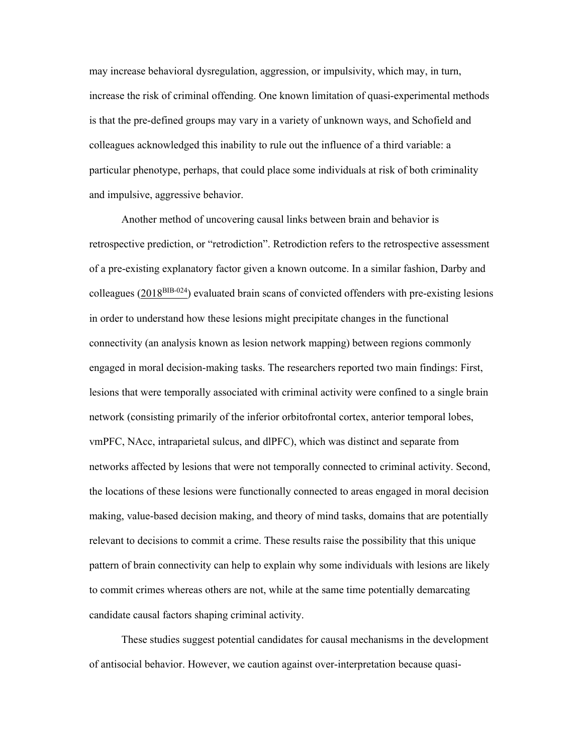may increase behavioral dysregulation, aggression, or impulsivity, which may, in turn, increase the risk of criminal offending. One known limitation of quasi-experimental methods is that the pre-defined groups may vary in a variety of unknown ways, and Schofield and colleagues acknowledged this inability to rule out the influence of a third variable: a particular phenotype, perhaps, that could place some individuals at risk of both criminality and impulsive, aggressive behavior.

Another method of uncovering causal links between brain and behavior is retrospective prediction, or "retrodiction". Retrodiction refers to the retrospective assessment of a pre-existing explanatory factor given a known outcome. In a similar fashion, Darby and colleagues  $(2018^{BIB-024})$  evaluated brain scans of convicted offenders with pre-existing lesions in order to understand how these lesions might precipitate changes in the functional connectivity (an analysis known as lesion network mapping) between regions commonly engaged in moral decision-making tasks. The researchers reported two main findings: First, lesions that were temporally associated with criminal activity were confined to a single brain network (consisting primarily of the inferior orbitofrontal cortex, anterior temporal lobes, vmPFC, NAcc, intraparietal sulcus, and dlPFC), which was distinct and separate from networks affected by lesions that were not temporally connected to criminal activity. Second, the locations of these lesions were functionally connected to areas engaged in moral decision making, value-based decision making, and theory of mind tasks, domains that are potentially relevant to decisions to commit a crime. These results raise the possibility that this unique pattern of brain connectivity can help to explain why some individuals with lesions are likely to commit crimes whereas others are not, while at the same time potentially demarcating candidate causal factors shaping criminal activity.

These studies suggest potential candidates for causal mechanisms in the development of antisocial behavior. However, we caution against over-interpretation because quasi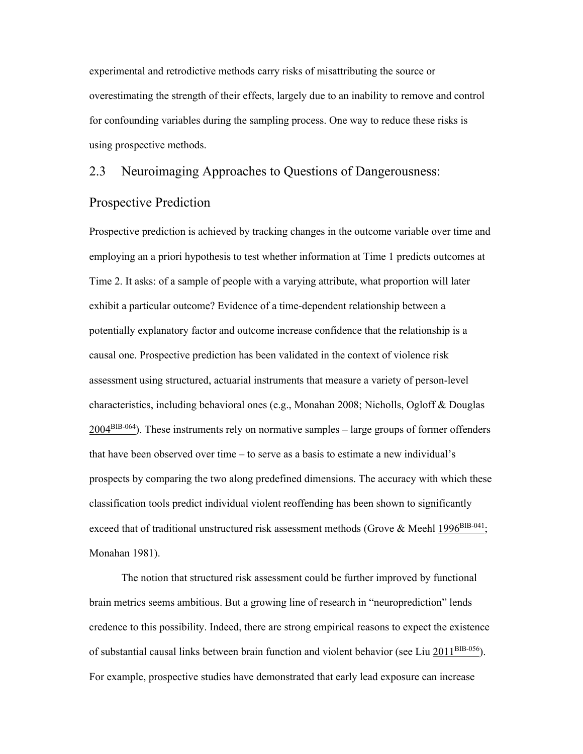experimental and retrodictive methods carry risks of misattributing the source or overestimating the strength of their effects, largely due to an inability to remove and control for confounding variables during the sampling process. One way to reduce these risks is using prospective methods.

#### 2.3 Neuroimaging Approaches to Questions of Dangerousness:

#### Prospective Prediction

Prospective prediction is achieved by tracking changes in the outcome variable over time and employing an a priori hypothesis to test whether information at Time 1 predicts outcomes at Time 2. It asks: of a sample of people with a varying attribute, what proportion will later exhibit a particular outcome? Evidence of a time-dependent relationship between a potentially explanatory factor and outcome increase confidence that the relationship is a causal one. Prospective prediction has been validated in the context of violence risk assessment using structured, actuarial instruments that measure a variety of person-level characteristics, including behavioral ones (e.g., Monahan 2008; Nicholls, Ogloff & Douglas  $2004<sup>BIB-064</sup>$ ). These instruments rely on normative samples – large groups of former offenders that have been observed over time – to serve as a basis to estimate a new individual's prospects by comparing the two along predefined dimensions. The accuracy with which these classification tools predict individual violent reoffending has been shown to significantly exceed that of traditional unstructured risk assessment methods (Grove & Meehl  $1996^{BB-041}$ ; Monahan 1981).

The notion that structured risk assessment could be further improved by functional brain metrics seems ambitious. But a growing line of research in "neuroprediction" lends credence to this possibility. Indeed, there are strong empirical reasons to expect the existence of substantial causal links between brain function and violent behavior (see Liu  $2011^{BB-056}$ ). For example, prospective studies have demonstrated that early lead exposure can increase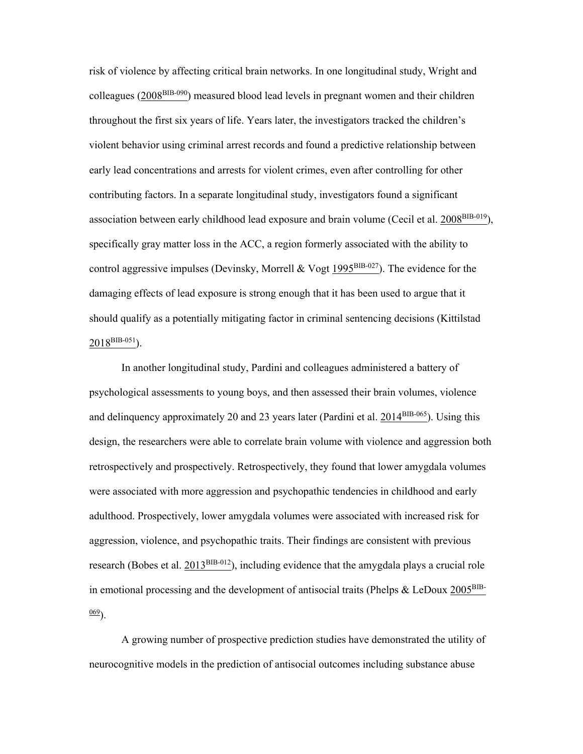risk of violence by affecting critical brain networks. In one longitudinal study, Wright and colleagues ( $2008<sup>BIB-090</sup>$ ) measured blood lead levels in pregnant women and their children throughout the first six years of life. Years later, the investigators tracked the children's violent behavior using criminal arrest records and found a predictive relationship between early lead concentrations and arrests for violent crimes, even after controlling for other contributing factors. In a separate longitudinal study, investigators found a significant association between early childhood lead exposure and brain volume (Cecil et al.  $2008<sup>BIB-019</sup>$ ), specifically gray matter loss in the ACC, a region formerly associated with the ability to control aggressive impulses (Devinsky, Morrell & Vogt 1995<sup>BIB-027</sup>). The evidence for the damaging effects of lead exposure is strong enough that it has been used to argue that it should qualify as a potentially mitigating factor in criminal sentencing decisions (Kittilstad  $2018^{BIB-051}$ ).

In another longitudinal study, Pardini and colleagues administered a battery of psychological assessments to young boys, and then assessed their brain volumes, violence and delinquency approximately 20 and 23 years later (Pardini et al.  $2014<sup>BIB-065</sup>$ ). Using this design, the researchers were able to correlate brain volume with violence and aggression both retrospectively and prospectively. Retrospectively, they found that lower amygdala volumes were associated with more aggression and psychopathic tendencies in childhood and early adulthood. Prospectively, lower amygdala volumes were associated with increased risk for aggression, violence, and psychopathic traits. Their findings are consistent with previous research (Bobes et al.  $2013^{BB-012}$ ), including evidence that the amygdala plays a crucial role in emotional processing and the development of antisocial traits (Phelps & LeDoux  $2005^{BIB}$ - $\frac{069}{0}$ .

A growing number of prospective prediction studies have demonstrated the utility of neurocognitive models in the prediction of antisocial outcomes including substance abuse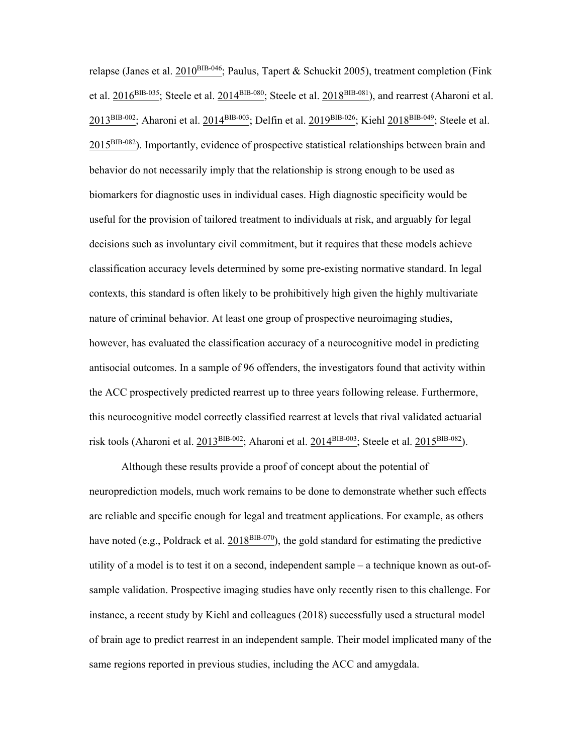relapse (Janes et al.  $2010^{BIB-046}$ ; Paulus, Tapert & Schuckit 2005), treatment completion (Fink et al.  $2016^{BB-035}$ ; Steele et al.  $2014^{BB-080}$ ; Steele et al.  $2018^{BB-081}$ ), and rearrest (Aharoni et al. 2013BIB-002; Aharoni et al. 2014BIB-003; Delfin et al. 2019BIB-026; Kiehl 2018BIB-049; Steele et al. 2015BIB-082). Importantly, evidence of prospective statistical relationships between brain and behavior do not necessarily imply that the relationship is strong enough to be used as biomarkers for diagnostic uses in individual cases. High diagnostic specificity would be useful for the provision of tailored treatment to individuals at risk, and arguably for legal decisions such as involuntary civil commitment, but it requires that these models achieve classification accuracy levels determined by some pre-existing normative standard. In legal contexts, this standard is often likely to be prohibitively high given the highly multivariate nature of criminal behavior. At least one group of prospective neuroimaging studies, however, has evaluated the classification accuracy of a neurocognitive model in predicting antisocial outcomes. In a sample of 96 offenders, the investigators found that activity within the ACC prospectively predicted rearrest up to three years following release. Furthermore, this neurocognitive model correctly classified rearrest at levels that rival validated actuarial risk tools (Aharoni et al. 2013<sup>BIB-002</sup>; Aharoni et al. 2014<sup>BIB-003</sup>; Steele et al. 2015<sup>BIB-082</sup>).

Although these results provide a proof of concept about the potential of neuroprediction models, much work remains to be done to demonstrate whether such effects are reliable and specific enough for legal and treatment applications. For example, as others have noted (e.g., Poldrack et al.  $2018^{BB-070}$ ), the gold standard for estimating the predictive utility of a model is to test it on a second, independent sample – a technique known as out-ofsample validation. Prospective imaging studies have only recently risen to this challenge. For instance, a recent study by Kiehl and colleagues (2018) successfully used a structural model of brain age to predict rearrest in an independent sample. Their model implicated many of the same regions reported in previous studies, including the ACC and amygdala.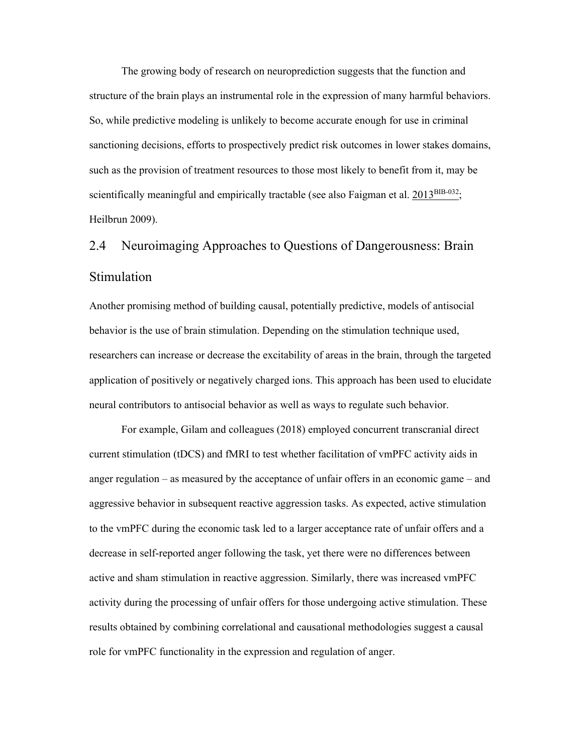The growing body of research on neuroprediction suggests that the function and structure of the brain plays an instrumental role in the expression of many harmful behaviors. So, while predictive modeling is unlikely to become accurate enough for use in criminal sanctioning decisions, efforts to prospectively predict risk outcomes in lower stakes domains, such as the provision of treatment resources to those most likely to benefit from it, may be scientifically meaningful and empirically tractable (see also Faigman et al.  $2013<sup>BIB-032</sup>$ ; Heilbrun 2009).

## 2.4 Neuroimaging Approaches to Questions of Dangerousness: Brain Stimulation

Another promising method of building causal, potentially predictive, models of antisocial behavior is the use of brain stimulation. Depending on the stimulation technique used, researchers can increase or decrease the excitability of areas in the brain, through the targeted application of positively or negatively charged ions. This approach has been used to elucidate neural contributors to antisocial behavior as well as ways to regulate such behavior.

For example, Gilam and colleagues (2018) employed concurrent transcranial direct current stimulation (tDCS) and fMRI to test whether facilitation of vmPFC activity aids in anger regulation – as measured by the acceptance of unfair offers in an economic game – and aggressive behavior in subsequent reactive aggression tasks. As expected, active stimulation to the vmPFC during the economic task led to a larger acceptance rate of unfair offers and a decrease in self-reported anger following the task, yet there were no differences between active and sham stimulation in reactive aggression. Similarly, there was increased vmPFC activity during the processing of unfair offers for those undergoing active stimulation. These results obtained by combining correlational and causational methodologies suggest a causal role for vmPFC functionality in the expression and regulation of anger.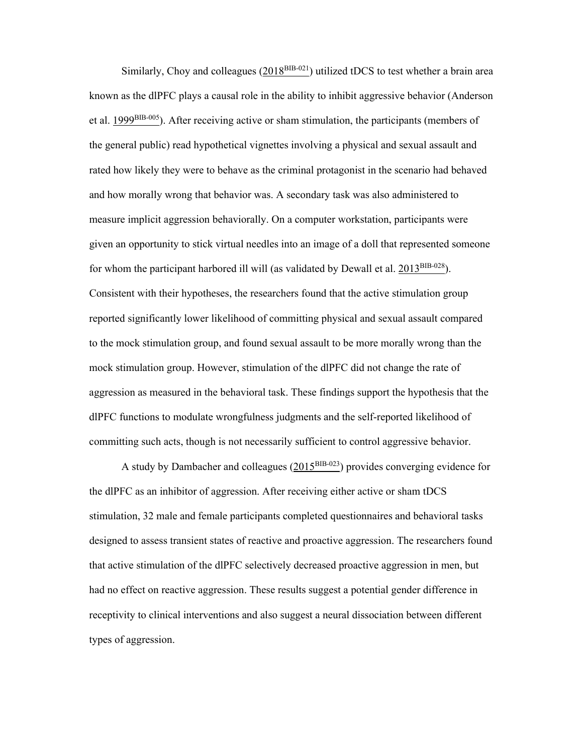Similarly, Choy and colleagues  $(2018^{BIB-0.21})$  utilized tDCS to test whether a brain area known as the dlPFC plays a causal role in the ability to inhibit aggressive behavior (Anderson et al. 1999<sup>BIB-005</sup>). After receiving active or sham stimulation, the participants (members of the general public) read hypothetical vignettes involving a physical and sexual assault and rated how likely they were to behave as the criminal protagonist in the scenario had behaved and how morally wrong that behavior was. A secondary task was also administered to measure implicit aggression behaviorally. On a computer workstation, participants were given an opportunity to stick virtual needles into an image of a doll that represented someone for whom the participant harbored ill will (as validated by Dewall et al.  $2013^{BB-028}$ ). Consistent with their hypotheses, the researchers found that the active stimulation group reported significantly lower likelihood of committing physical and sexual assault compared to the mock stimulation group, and found sexual assault to be more morally wrong than the mock stimulation group. However, stimulation of the dlPFC did not change the rate of aggression as measured in the behavioral task. These findings support the hypothesis that the dlPFC functions to modulate wrongfulness judgments and the self-reported likelihood of committing such acts, though is not necessarily sufficient to control aggressive behavior.

A study by Dambacher and colleagues  $(2015^{BB-023})$  provides converging evidence for the dlPFC as an inhibitor of aggression. After receiving either active or sham tDCS stimulation, 32 male and female participants completed questionnaires and behavioral tasks designed to assess transient states of reactive and proactive aggression. The researchers found that active stimulation of the dlPFC selectively decreased proactive aggression in men, but had no effect on reactive aggression. These results suggest a potential gender difference in receptivity to clinical interventions and also suggest a neural dissociation between different types of aggression.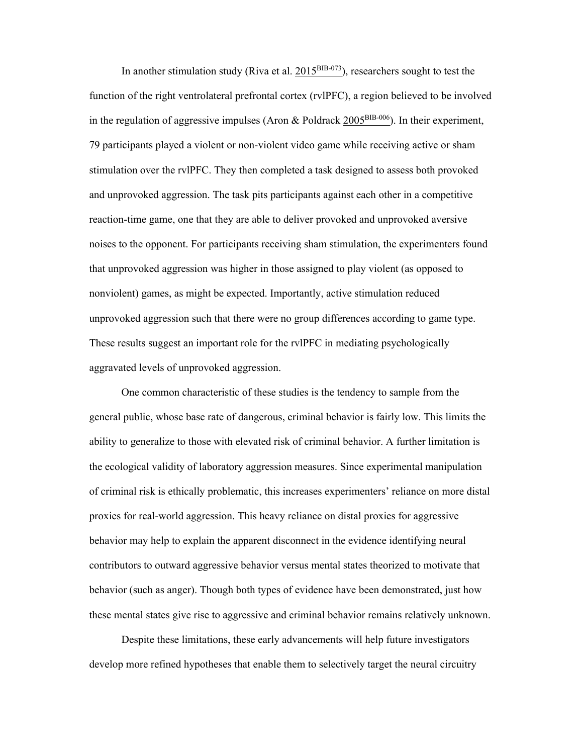In another stimulation study (Riva et al.  $2015^{BIB-073}$ ), researchers sought to test the function of the right ventrolateral prefrontal cortex (rvlPFC), a region believed to be involved in the regulation of aggressive impulses (Aron & Poldrack  $2005^{BIB-006}$ ). In their experiment, 79 participants played a violent or non-violent video game while receiving active or sham stimulation over the rvlPFC. They then completed a task designed to assess both provoked and unprovoked aggression. The task pits participants against each other in a competitive reaction-time game, one that they are able to deliver provoked and unprovoked aversive noises to the opponent. For participants receiving sham stimulation, the experimenters found that unprovoked aggression was higher in those assigned to play violent (as opposed to nonviolent) games, as might be expected. Importantly, active stimulation reduced unprovoked aggression such that there were no group differences according to game type. These results suggest an important role for the rvlPFC in mediating psychologically aggravated levels of unprovoked aggression.

One common characteristic of these studies is the tendency to sample from the general public, whose base rate of dangerous, criminal behavior is fairly low. This limits the ability to generalize to those with elevated risk of criminal behavior. A further limitation is the ecological validity of laboratory aggression measures. Since experimental manipulation of criminal risk is ethically problematic, this increases experimenters' reliance on more distal proxies for real-world aggression. This heavy reliance on distal proxies for aggressive behavior may help to explain the apparent disconnect in the evidence identifying neural contributors to outward aggressive behavior versus mental states theorized to motivate that behavior (such as anger). Though both types of evidence have been demonstrated, just how these mental states give rise to aggressive and criminal behavior remains relatively unknown.

Despite these limitations, these early advancements will help future investigators develop more refined hypotheses that enable them to selectively target the neural circuitry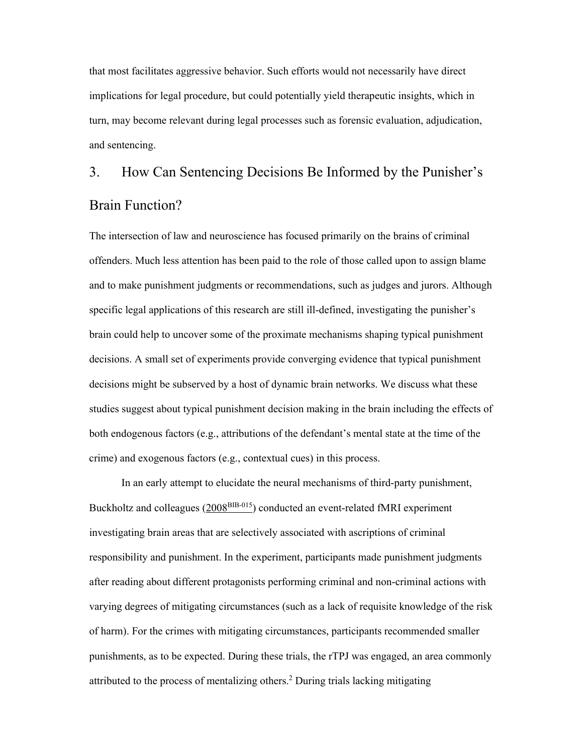that most facilitates aggressive behavior. Such efforts would not necessarily have direct implications for legal procedure, but could potentially yield therapeutic insights, which in turn, may become relevant during legal processes such as forensic evaluation, adjudication, and sentencing.

## 3. How Can Sentencing Decisions Be Informed by the Punisher's Brain Function?

The intersection of law and neuroscience has focused primarily on the brains of criminal offenders. Much less attention has been paid to the role of those called upon to assign blame and to make punishment judgments or recommendations, such as judges and jurors. Although specific legal applications of this research are still ill-defined, investigating the punisher's brain could help to uncover some of the proximate mechanisms shaping typical punishment decisions. A small set of experiments provide converging evidence that typical punishment decisions might be subserved by a host of dynamic brain networks. We discuss what these studies suggest about typical punishment decision making in the brain including the effects of both endogenous factors (e.g., attributions of the defendant's mental state at the time of the crime) and exogenous factors (e.g., contextual cues) in this process.

In an early attempt to elucidate the neural mechanisms of third-party punishment, Buckholtz and colleagues  $(2008<sup>BIB-015</sup>)$  conducted an event-related fMRI experiment investigating brain areas that are selectively associated with ascriptions of criminal responsibility and punishment. In the experiment, participants made punishment judgments after reading about different protagonists performing criminal and non-criminal actions with varying degrees of mitigating circumstances (such as a lack of requisite knowledge of the risk of harm). For the crimes with mitigating circumstances, participants recommended smaller punishments, as to be expected. During these trials, the rTPJ was engaged, an area commonly attributed to the process of mentalizing others.<sup>2</sup> During trials lacking mitigating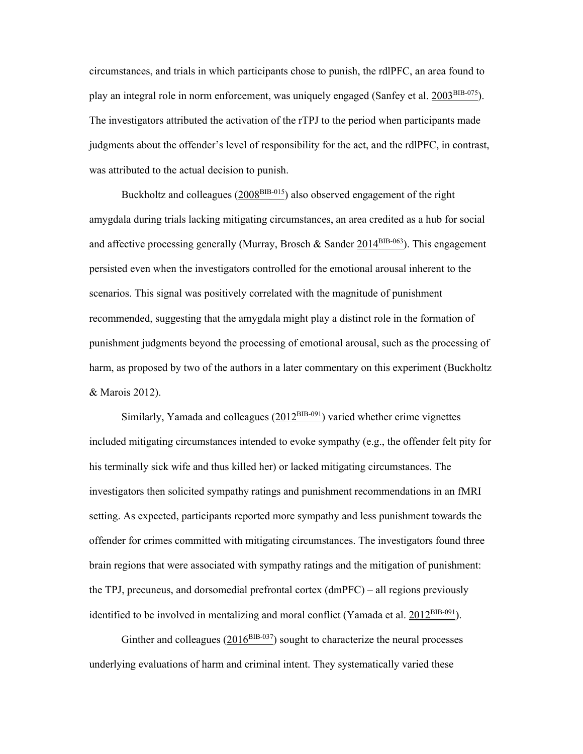circumstances, and trials in which participants chose to punish, the rdlPFC, an area found to play an integral role in norm enforcement, was uniquely engaged (Sanfey et al. 2003<sup>BIB-075</sup>). The investigators attributed the activation of the rTPJ to the period when participants made judgments about the offender's level of responsibility for the act, and the rdlPFC, in contrast, was attributed to the actual decision to punish.

Buckholtz and colleagues  $(2008<sup>BIB-015</sup>)$  also observed engagement of the right amygdala during trials lacking mitigating circumstances, an area credited as a hub for social and affective processing generally (Murray, Brosch & Sander  $2014^{BB-063}$ ). This engagement persisted even when the investigators controlled for the emotional arousal inherent to the scenarios. This signal was positively correlated with the magnitude of punishment recommended, suggesting that the amygdala might play a distinct role in the formation of punishment judgments beyond the processing of emotional arousal, such as the processing of harm, as proposed by two of the authors in a later commentary on this experiment (Buckholtz & Marois 2012).

Similarly, Yamada and colleagues  $(2012<sup>BIB-091</sup>)$  varied whether crime vignettes included mitigating circumstances intended to evoke sympathy (e.g., the offender felt pity for his terminally sick wife and thus killed her) or lacked mitigating circumstances. The investigators then solicited sympathy ratings and punishment recommendations in an fMRI setting. As expected, participants reported more sympathy and less punishment towards the offender for crimes committed with mitigating circumstances. The investigators found three brain regions that were associated with sympathy ratings and the mitigation of punishment: the TPJ, precuneus, and dorsomedial prefrontal cortex (dmPFC) – all regions previously identified to be involved in mentalizing and moral conflict (Yamada et al.  $2012^{BB-091}$ ).

Ginther and colleagues  $(2016^{BIB-037})$  sought to characterize the neural processes underlying evaluations of harm and criminal intent. They systematically varied these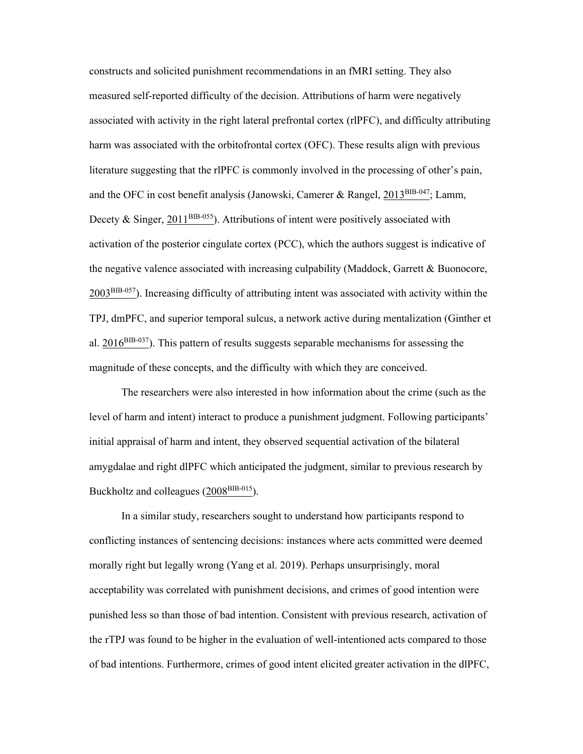constructs and solicited punishment recommendations in an fMRI setting. They also measured self-reported difficulty of the decision. Attributions of harm were negatively associated with activity in the right lateral prefrontal cortex (rlPFC), and difficulty attributing harm was associated with the orbitofrontal cortex (OFC). These results align with previous literature suggesting that the rlPFC is commonly involved in the processing of other's pain, and the OFC in cost benefit analysis (Janowski, Camerer & Rangel,  $2013<sup>BIB-047</sup>$ ; Lamm, Decety & Singer,  $2011^{BB-055}$ ). Attributions of intent were positively associated with activation of the posterior cingulate cortex (PCC), which the authors suggest is indicative of the negative valence associated with increasing culpability (Maddock, Garrett & Buonocore,  $2003<sup>BIB-057</sup>$ ). Increasing difficulty of attributing intent was associated with activity within the TPJ, dmPFC, and superior temporal sulcus, a network active during mentalization (Ginther et al.  $2016<sup>BIB-037</sup>$ ). This pattern of results suggests separable mechanisms for assessing the magnitude of these concepts, and the difficulty with which they are conceived.

The researchers were also interested in how information about the crime (such as the level of harm and intent) interact to produce a punishment judgment. Following participants' initial appraisal of harm and intent, they observed sequential activation of the bilateral amygdalae and right dlPFC which anticipated the judgment, similar to previous research by Buckholtz and colleagues  $(2008<sup>BIB-015</sup>)$ .

In a similar study, researchers sought to understand how participants respond to conflicting instances of sentencing decisions: instances where acts committed were deemed morally right but legally wrong (Yang et al. 2019). Perhaps unsurprisingly, moral acceptability was correlated with punishment decisions, and crimes of good intention were punished less so than those of bad intention. Consistent with previous research, activation of the rTPJ was found to be higher in the evaluation of well-intentioned acts compared to those of bad intentions. Furthermore, crimes of good intent elicited greater activation in the dlPFC,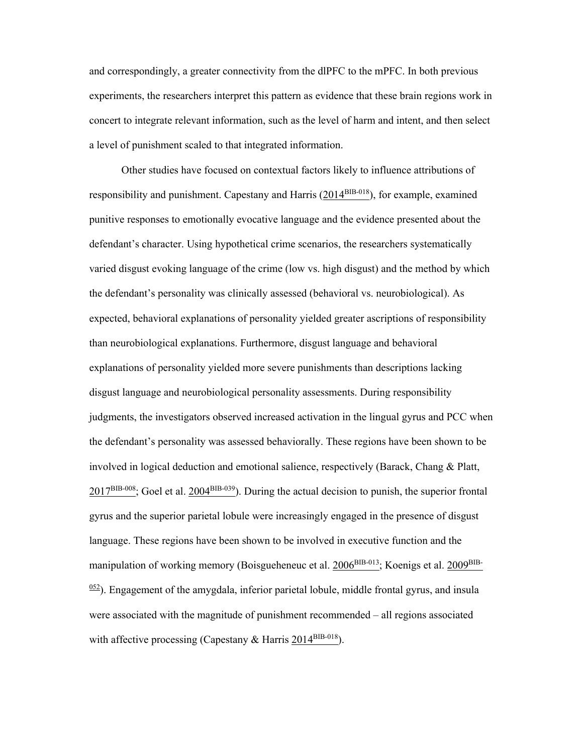and correspondingly, a greater connectivity from the dlPFC to the mPFC. In both previous experiments, the researchers interpret this pattern as evidence that these brain regions work in concert to integrate relevant information, such as the level of harm and intent, and then select a level of punishment scaled to that integrated information.

Other studies have focused on contextual factors likely to influence attributions of responsibility and punishment. Capestany and Harris  $(2014<sup>BIB-018</sup>)$ , for example, examined punitive responses to emotionally evocative language and the evidence presented about the defendant's character. Using hypothetical crime scenarios, the researchers systematically varied disgust evoking language of the crime (low vs. high disgust) and the method by which the defendant's personality was clinically assessed (behavioral vs. neurobiological). As expected, behavioral explanations of personality yielded greater ascriptions of responsibility than neurobiological explanations. Furthermore, disgust language and behavioral explanations of personality yielded more severe punishments than descriptions lacking disgust language and neurobiological personality assessments. During responsibility judgments, the investigators observed increased activation in the lingual gyrus and PCC when the defendant's personality was assessed behaviorally. These regions have been shown to be involved in logical deduction and emotional salience, respectively (Barack, Chang & Platt,  $2017^{\text{BIB-008}}$ ; Goel et al.  $2004^{\text{BIB-039}}$ ). During the actual decision to punish, the superior frontal gyrus and the superior parietal lobule were increasingly engaged in the presence of disgust language. These regions have been shown to be involved in executive function and the manipulation of working memory (Boisgueheneuc et al.  $2006<sup>BIB-013</sup>$ ; Koenigs et al.  $2009<sup>BIB-</sup>$  $\frac{0.052}{0.052}$ . Engagement of the amygdala, inferior parietal lobule, middle frontal gyrus, and insula were associated with the magnitude of punishment recommended – all regions associated with affective processing (Capestany & Harris 2014<sup>BIB-018</sup>).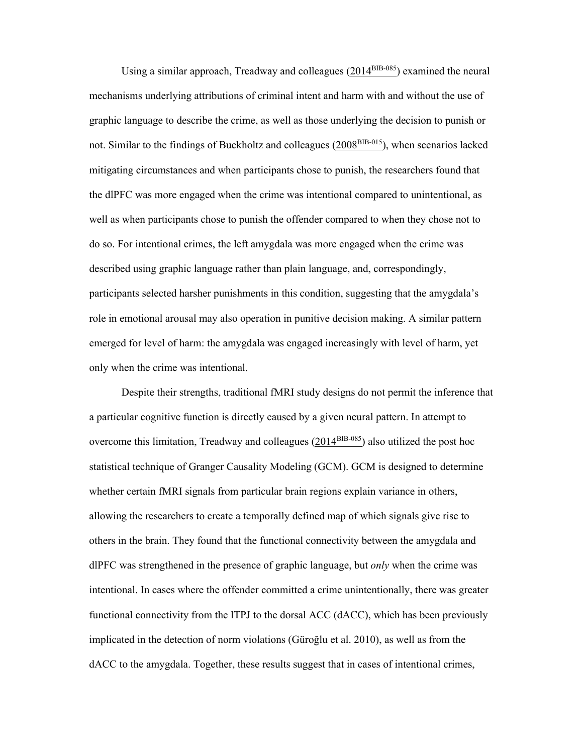Using a similar approach, Treadway and colleagues  $(2014<sup>BIB-085</sup>)$  examined the neural mechanisms underlying attributions of criminal intent and harm with and without the use of graphic language to describe the crime, as well as those underlying the decision to punish or not. Similar to the findings of Buckholtz and colleagues  $(2008<sup>BIB-015</sup>)$ , when scenarios lacked mitigating circumstances and when participants chose to punish, the researchers found that the dlPFC was more engaged when the crime was intentional compared to unintentional, as well as when participants chose to punish the offender compared to when they chose not to do so. For intentional crimes, the left amygdala was more engaged when the crime was described using graphic language rather than plain language, and, correspondingly, participants selected harsher punishments in this condition, suggesting that the amygdala's role in emotional arousal may also operation in punitive decision making. A similar pattern emerged for level of harm: the amygdala was engaged increasingly with level of harm, yet only when the crime was intentional.

Despite their strengths, traditional fMRI study designs do not permit the inference that a particular cognitive function is directly caused by a given neural pattern. In attempt to overcome this limitation, Treadway and colleagues  $(2014<sup>BIB-085</sup>)$  also utilized the post hoc statistical technique of Granger Causality Modeling (GCM). GCM is designed to determine whether certain fMRI signals from particular brain regions explain variance in others, allowing the researchers to create a temporally defined map of which signals give rise to others in the brain. They found that the functional connectivity between the amygdala and dlPFC was strengthened in the presence of graphic language, but *only* when the crime was intentional. In cases where the offender committed a crime unintentionally, there was greater functional connectivity from the lTPJ to the dorsal ACC (dACC), which has been previously implicated in the detection of norm violations (Güroğlu et al. 2010), as well as from the dACC to the amygdala. Together, these results suggest that in cases of intentional crimes,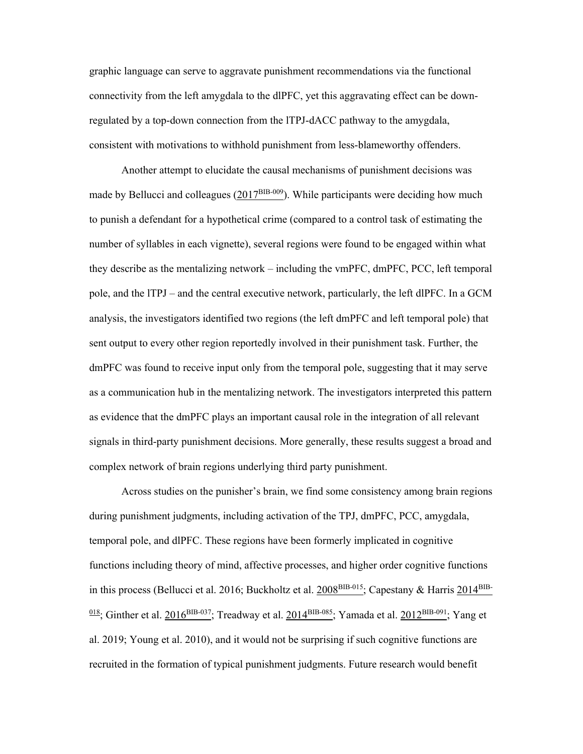graphic language can serve to aggravate punishment recommendations via the functional connectivity from the left amygdala to the dlPFC, yet this aggravating effect can be downregulated by a top-down connection from the lTPJ-dACC pathway to the amygdala, consistent with motivations to withhold punishment from less-blameworthy offenders.

Another attempt to elucidate the causal mechanisms of punishment decisions was made by Bellucci and colleagues  $(2017<sup>BIB-009</sup>)$ . While participants were deciding how much to punish a defendant for a hypothetical crime (compared to a control task of estimating the number of syllables in each vignette), several regions were found to be engaged within what they describe as the mentalizing network – including the vmPFC, dmPFC, PCC, left temporal pole, and the lTPJ – and the central executive network, particularly, the left dlPFC. In a GCM analysis, the investigators identified two regions (the left dmPFC and left temporal pole) that sent output to every other region reportedly involved in their punishment task. Further, the dmPFC was found to receive input only from the temporal pole, suggesting that it may serve as a communication hub in the mentalizing network. The investigators interpreted this pattern as evidence that the dmPFC plays an important causal role in the integration of all relevant signals in third-party punishment decisions. More generally, these results suggest a broad and complex network of brain regions underlying third party punishment.

Across studies on the punisher's brain, we find some consistency among brain regions during punishment judgments, including activation of the TPJ, dmPFC, PCC, amygdala, temporal pole, and dlPFC. These regions have been formerly implicated in cognitive functions including theory of mind, affective processes, and higher order cognitive functions in this process (Bellucci et al. 2016; Buckholtz et al.  $2008^{BIB-015}$ ; Capestany & Harris 2014<sup>BIB-</sup>  $\frac{018}{1018}$ ; Ginther et al.  $\frac{2016^{BIB-037}}{1018}$ ; Treadway et al.  $\frac{2014^{BIB-085}}{1018}$ ; Yamada et al.  $\frac{2012^{BIB-091}}{1018}$ ; Yang et al. 2019; Young et al. 2010), and it would not be surprising if such cognitive functions are recruited in the formation of typical punishment judgments. Future research would benefit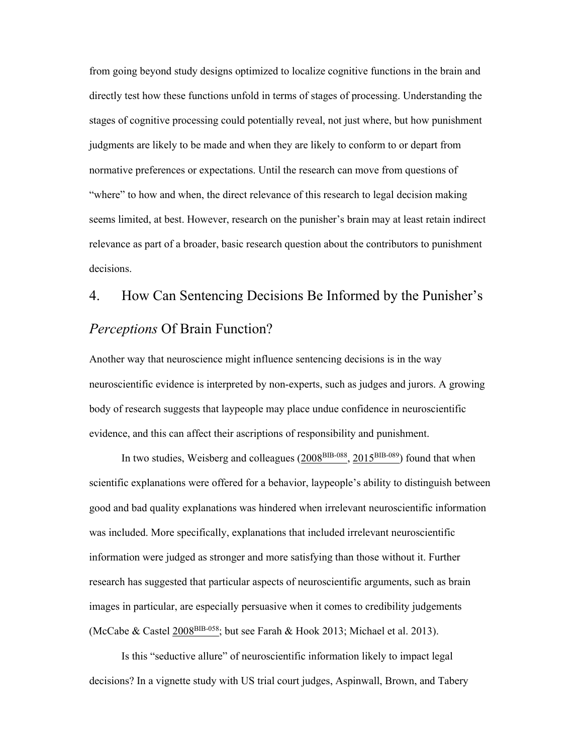from going beyond study designs optimized to localize cognitive functions in the brain and directly test how these functions unfold in terms of stages of processing. Understanding the stages of cognitive processing could potentially reveal, not just where, but how punishment judgments are likely to be made and when they are likely to conform to or depart from normative preferences or expectations. Until the research can move from questions of "where" to how and when, the direct relevance of this research to legal decision making seems limited, at best. However, research on the punisher's brain may at least retain indirect relevance as part of a broader, basic research question about the contributors to punishment decisions.

# 4. How Can Sentencing Decisions Be Informed by the Punisher's *Perceptions* Of Brain Function?

Another way that neuroscience might influence sentencing decisions is in the way neuroscientific evidence is interpreted by non-experts, such as judges and jurors. A growing body of research suggests that laypeople may place undue confidence in neuroscientific evidence, and this can affect their ascriptions of responsibility and punishment.

In two studies, Weisberg and colleagues  $(2008<sup>BIB-088</sup>, 2015<sup>BIB-089</sup>)$  found that when scientific explanations were offered for a behavior, laypeople's ability to distinguish between good and bad quality explanations was hindered when irrelevant neuroscientific information was included. More specifically, explanations that included irrelevant neuroscientific information were judged as stronger and more satisfying than those without it. Further research has suggested that particular aspects of neuroscientific arguments, such as brain images in particular, are especially persuasive when it comes to credibility judgements (McCabe & Castel  $2008^{BB-058}$ ; but see Farah & Hook 2013; Michael et al. 2013).

Is this "seductive allure" of neuroscientific information likely to impact legal decisions? In a vignette study with US trial court judges, Aspinwall, Brown, and Tabery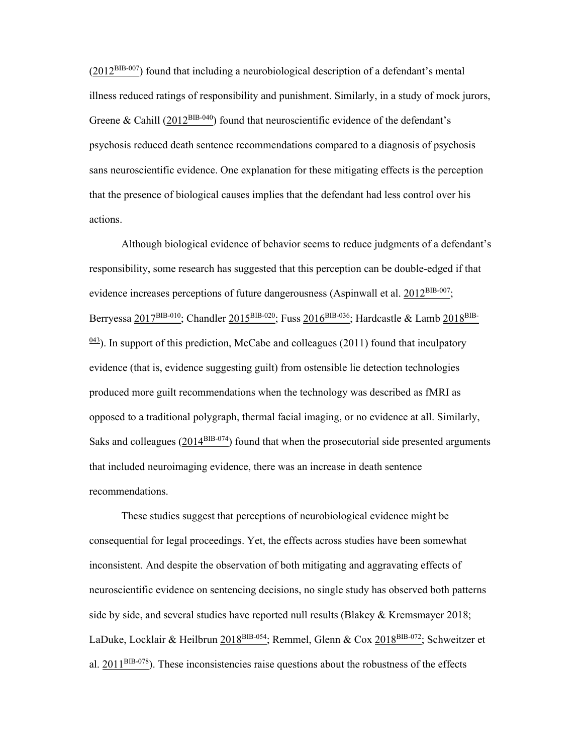$(2012^{BIB-007})$  found that including a neurobiological description of a defendant's mental illness reduced ratings of responsibility and punishment. Similarly, in a study of mock jurors, Greene & Cahill (2012<sup>BIB-040</sup>) found that neuroscientific evidence of the defendant's psychosis reduced death sentence recommendations compared to a diagnosis of psychosis sans neuroscientific evidence. One explanation for these mitigating effects is the perception that the presence of biological causes implies that the defendant had less control over his actions.

Although biological evidence of behavior seems to reduce judgments of a defendant's responsibility, some research has suggested that this perception can be double-edged if that evidence increases perceptions of future dangerousness (Aspinwall et al.  $2012^{BIB-007}$ ; Berryessa 2017<sup>BIB-010</sup>; Chandler 2015<sup>BIB-020</sup>; Fuss 2016<sup>BIB-036</sup>; Hardcastle & Lamb 2018<sup>BIB-1</sup>  $\frac{0.43}{0.43}$ . In support of this prediction, McCabe and colleagues (2011) found that inculpatory evidence (that is, evidence suggesting guilt) from ostensible lie detection technologies produced more guilt recommendations when the technology was described as fMRI as opposed to a traditional polygraph, thermal facial imaging, or no evidence at all. Similarly, Saks and colleagues  $(2014^{BB-074})$  found that when the prosecutorial side presented arguments that included neuroimaging evidence, there was an increase in death sentence recommendations.

These studies suggest that perceptions of neurobiological evidence might be consequential for legal proceedings. Yet, the effects across studies have been somewhat inconsistent. And despite the observation of both mitigating and aggravating effects of neuroscientific evidence on sentencing decisions, no single study has observed both patterns side by side, and several studies have reported null results (Blakey  $&$  Kremsmayer 2018; LaDuke, Locklair & Heilbrun 2018<sup>BIB-054</sup>; Remmel, Glenn & Cox 2018<sup>BIB-072</sup>; Schweitzer et al.  $2011<sup>BIB-078</sup>$ ). These inconsistencies raise questions about the robustness of the effects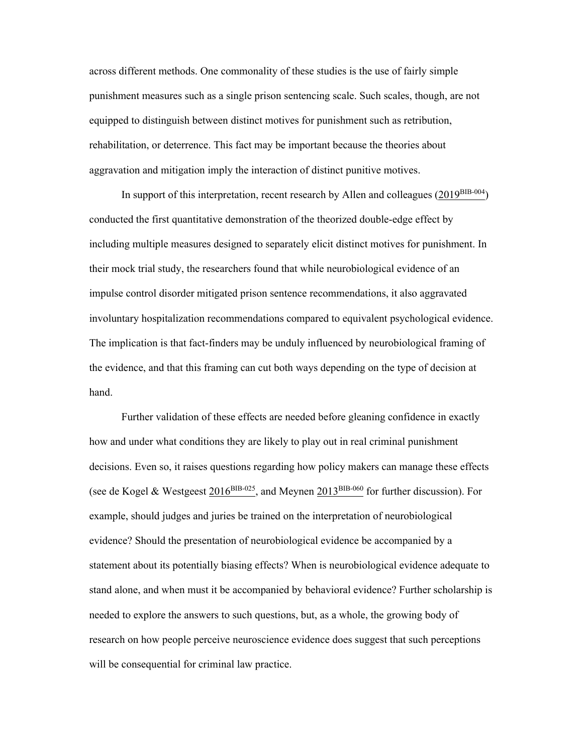across different methods. One commonality of these studies is the use of fairly simple punishment measures such as a single prison sentencing scale. Such scales, though, are not equipped to distinguish between distinct motives for punishment such as retribution, rehabilitation, or deterrence. This fact may be important because the theories about aggravation and mitigation imply the interaction of distinct punitive motives.

In support of this interpretation, recent research by Allen and colleagues  $(2019<sup>BIB-004</sup>)$ conducted the first quantitative demonstration of the theorized double-edge effect by including multiple measures designed to separately elicit distinct motives for punishment. In their mock trial study, the researchers found that while neurobiological evidence of an impulse control disorder mitigated prison sentence recommendations, it also aggravated involuntary hospitalization recommendations compared to equivalent psychological evidence. The implication is that fact-finders may be unduly influenced by neurobiological framing of the evidence, and that this framing can cut both ways depending on the type of decision at hand.

Further validation of these effects are needed before gleaning confidence in exactly how and under what conditions they are likely to play out in real criminal punishment decisions. Even so, it raises questions regarding how policy makers can manage these effects (see de Kogel & Westgeest  $2016^{BIB-025}$ , and Meynen  $2013^{BIB-060}$  for further discussion). For example, should judges and juries be trained on the interpretation of neurobiological evidence? Should the presentation of neurobiological evidence be accompanied by a statement about its potentially biasing effects? When is neurobiological evidence adequate to stand alone, and when must it be accompanied by behavioral evidence? Further scholarship is needed to explore the answers to such questions, but, as a whole, the growing body of research on how people perceive neuroscience evidence does suggest that such perceptions will be consequential for criminal law practice.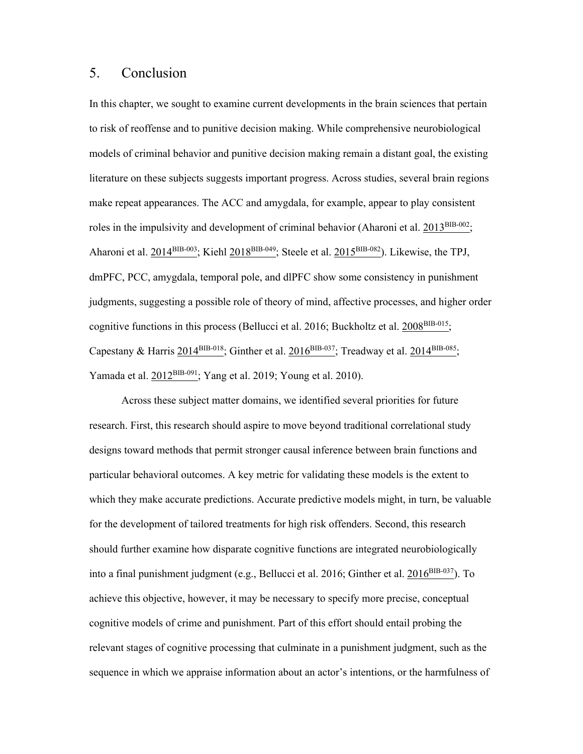#### 5. Conclusion

In this chapter, we sought to examine current developments in the brain sciences that pertain to risk of reoffense and to punitive decision making. While comprehensive neurobiological models of criminal behavior and punitive decision making remain a distant goal, the existing literature on these subjects suggests important progress. Across studies, several brain regions make repeat appearances. The ACC and amygdala, for example, appear to play consistent roles in the impulsivity and development of criminal behavior (Aharoni et al.  $2013<sup>BIB-002</sup>$ ; Aharoni et al. 2014<sup>BIB-003</sup>; Kiehl 2018<sup>BIB-049</sup>; Steele et al. 2015<sup>BIB-082</sup>). Likewise, the TPJ, dmPFC, PCC, amygdala, temporal pole, and dlPFC show some consistency in punishment judgments, suggesting a possible role of theory of mind, affective processes, and higher order cognitive functions in this process (Bellucci et al. 2016; Buckholtz et al.  $2008<sup>BIB-015</sup>$ ; Capestany & Harris 2014<sup>BIB-018</sup>; Ginther et al. 2016<sup>BIB-037</sup>; Treadway et al. 2014<sup>BIB-085</sup>; Yamada et al.  $2012^{BIB-091}$ ; Yang et al.  $2019$ ; Young et al.  $2010$ ).

Across these subject matter domains, we identified several priorities for future research. First, this research should aspire to move beyond traditional correlational study designs toward methods that permit stronger causal inference between brain functions and particular behavioral outcomes. A key metric for validating these models is the extent to which they make accurate predictions. Accurate predictive models might, in turn, be valuable for the development of tailored treatments for high risk offenders. Second, this research should further examine how disparate cognitive functions are integrated neurobiologically into a final punishment judgment (e.g., Bellucci et al. 2016; Ginther et al.  $2016^{BB-037}$ ). To achieve this objective, however, it may be necessary to specify more precise, conceptual cognitive models of crime and punishment. Part of this effort should entail probing the relevant stages of cognitive processing that culminate in a punishment judgment, such as the sequence in which we appraise information about an actor's intentions, or the harmfulness of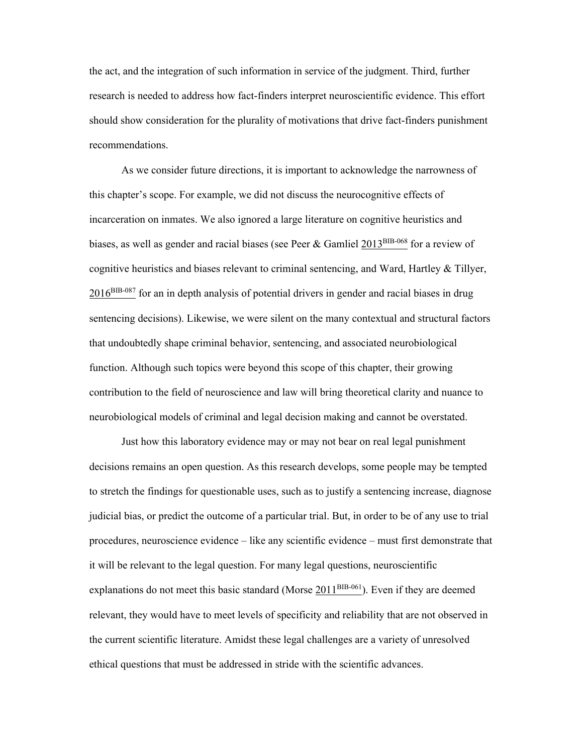the act, and the integration of such information in service of the judgment. Third, further research is needed to address how fact-finders interpret neuroscientific evidence. This effort should show consideration for the plurality of motivations that drive fact-finders punishment recommendations.

As we consider future directions, it is important to acknowledge the narrowness of this chapter's scope. For example, we did not discuss the neurocognitive effects of incarceration on inmates. We also ignored a large literature on cognitive heuristics and biases, as well as gender and racial biases (see Peer & Gamliel  $2013<sup>BIB-068</sup>$  for a review of cognitive heuristics and biases relevant to criminal sentencing, and Ward, Hartley  $&$  Tillyer,  $2016<sup>BIB-087</sup>$  for an in depth analysis of potential drivers in gender and racial biases in drug sentencing decisions). Likewise, we were silent on the many contextual and structural factors that undoubtedly shape criminal behavior, sentencing, and associated neurobiological function. Although such topics were beyond this scope of this chapter, their growing contribution to the field of neuroscience and law will bring theoretical clarity and nuance to neurobiological models of criminal and legal decision making and cannot be overstated.

Just how this laboratory evidence may or may not bear on real legal punishment decisions remains an open question. As this research develops, some people may be tempted to stretch the findings for questionable uses, such as to justify a sentencing increase, diagnose judicial bias, or predict the outcome of a particular trial. But, in order to be of any use to trial procedures, neuroscience evidence – like any scientific evidence – must first demonstrate that it will be relevant to the legal question. For many legal questions, neuroscientific explanations do not meet this basic standard (Morse  $2011^{BB-061}$ ). Even if they are deemed relevant, they would have to meet levels of specificity and reliability that are not observed in the current scientific literature. Amidst these legal challenges are a variety of unresolved ethical questions that must be addressed in stride with the scientific advances.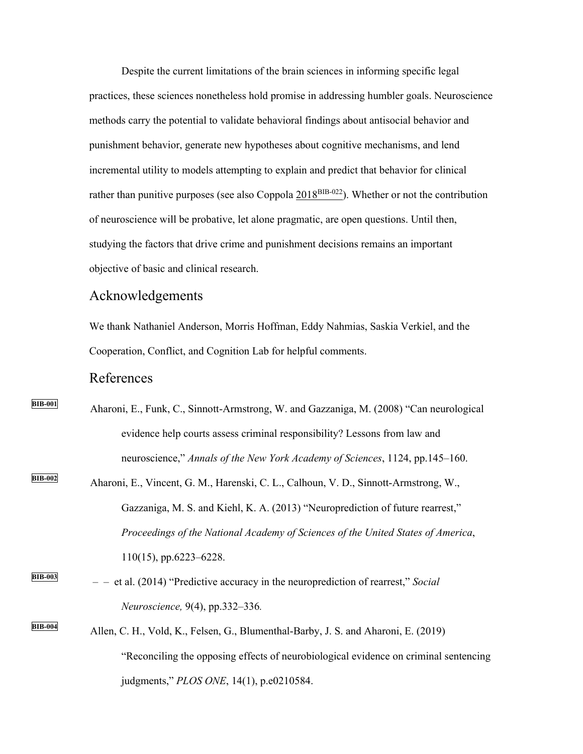Despite the current limitations of the brain sciences in informing specific legal practices, these sciences nonetheless hold promise in addressing humbler goals. Neuroscience methods carry the potential to validate behavioral findings about antisocial behavior and punishment behavior, generate new hypotheses about cognitive mechanisms, and lend incremental utility to models attempting to explain and predict that behavior for clinical rather than punitive purposes (see also Coppola  $2018^{BIB-022}$ ). Whether or not the contribution of neuroscience will be probative, let alone pragmatic, are open questions. Until then, studying the factors that drive crime and punishment decisions remains an important objective of basic and clinical research.

### Acknowledgements

We thank Nathaniel Anderson, Morris Hoffman, Eddy Nahmias, Saskia Verkiel, and the Cooperation, Conflict, and Cognition Lab for helpful comments.

#### References

- Aharoni, E., Funk, C., Sinnott‐Armstrong, W. and Gazzaniga, M. (2008) "Can neurological evidence help courts assess criminal responsibility? Lessons from law and neuroscience," *Annals of the New York Academy of Sciences*, 1124, pp.145–160. **BIB-001**
- Aharoni, E., Vincent, G. M., Harenski, C. L., Calhoun, V. D., Sinnott-Armstrong, W., Gazzaniga, M. S. and Kiehl, K. A. (2013) "Neuroprediction of future rearrest," *Proceedings of the National Academy of Sciences of the United States of America*, 110(15), pp.6223–6228. **BIB-002**
- – et al. (2014) "Predictive accuracy in the neuroprediction of rearrest," *Social Neuroscience,* 9(4), pp.332–336*.* **BIB-003**
- Allen, C. H., Vold, K., Felsen, G., Blumenthal-Barby, J. S. and Aharoni, E. (2019) "Reconciling the opposing effects of neurobiological evidence on criminal sentencing judgments," *PLOS ONE*, 14(1), p.e0210584. **BIB-004**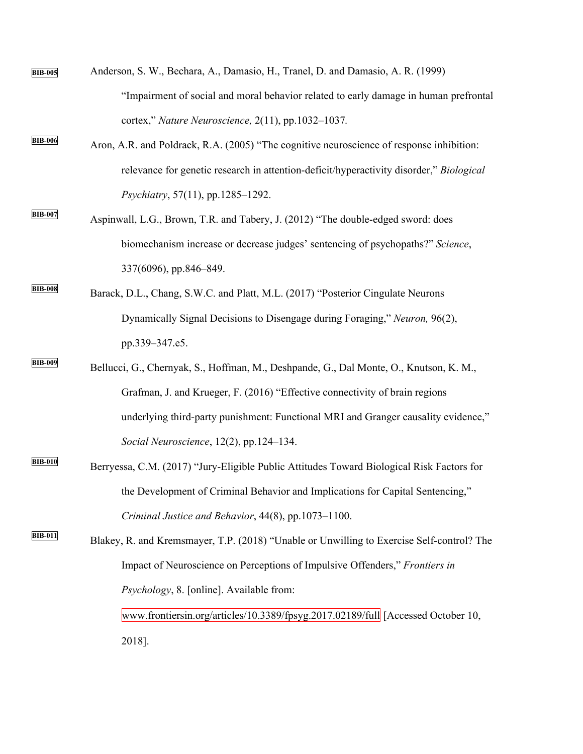- Anderson, S. W., Bechara, A., Damasio, H., Tranel, D. and Damasio, A. R. (1999) "Impairment of social and moral behavior related to early damage in human prefrontal cortex," *Nature Neuroscience,* 2(11), pp.1032–1037*.* **BIB-005**
- Aron, A.R. and Poldrack, R.A. (2005) "The cognitive neuroscience of response inhibition: relevance for genetic research in attention-deficit/hyperactivity disorder," *Biological Psychiatry*, 57(11), pp.1285–1292. **BIB-006**
- Aspinwall, L.G., Brown, T.R. and Tabery, J. (2012) "The double-edged sword: does biomechanism increase or decrease judges' sentencing of psychopaths?" *Science*, 337(6096), pp.846–849. **BIB-007**
- Barack, D.L., Chang, S.W.C. and Platt, M.L. (2017) "Posterior Cingulate Neurons Dynamically Signal Decisions to Disengage during Foraging," *Neuron,* 96(2), pp.339–347.e5. **BIB-008**
- Bellucci, G., Chernyak, S., Hoffman, M., Deshpande, G., Dal Monte, O., Knutson, K. M., Grafman, J. and Krueger, F. (2016) "Effective connectivity of brain regions underlying third-party punishment: Functional MRI and Granger causality evidence," *Social Neuroscience*, 12(2), pp.124–134. **BIB-009**
- Berryessa, C.M. (2017) "Jury-Eligible Public Attitudes Toward Biological Risk Factors for the Development of Criminal Behavior and Implications for Capital Sentencing," *Criminal Justice and Behavior*, 44(8), pp.1073–1100. **BIB-010**
- Blakey, R. and Kremsmayer, T.P. (2018) "Unable or Unwilling to Exercise Self-control? The Impact of Neuroscience on Perceptions of Impulsive Offenders," *Frontiers in Psychology*, 8. [online]. Available from: **BIB-011**

www.frontiersin.org/articles/10.3389/fpsyg.2017.02189/full [Accessed October 10, 2018].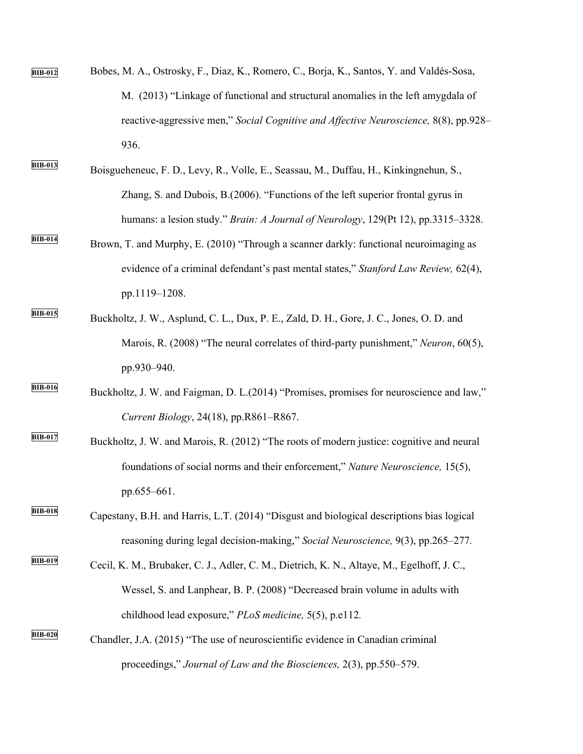- Bobes, M. A., Ostrosky, F., Diaz, K., Romero, C., Borja, K., Santos, Y. and Valdés-Sosa, M. (2013) "Linkage of functional and structural anomalies in the left amygdala of reactive-aggressive men," *Social Cognitive and Affective Neuroscience,* 8(8), pp.928– 936. **BIB-012**
- Boisgueheneuc, F. D., Levy, R., Volle, E., Seassau, M., Duffau, H., Kinkingnehun, S., Zhang, S. and Dubois, B.(2006). "Functions of the left superior frontal gyrus in humans: a lesion study." *Brain: A Journal of Neurology*, 129(Pt 12), pp.3315–3328. **BIB-013**
- Brown, T. and Murphy, E. (2010) "Through a scanner darkly: functional neuroimaging as evidence of a criminal defendant's past mental states," *Stanford Law Review,* 62(4), pp.1119–1208. **BIB-014**
- Buckholtz, J. W., Asplund, C. L., Dux, P. E., Zald, D. H., Gore, J. C., Jones, O. D. and Marois, R. (2008) "The neural correlates of third-party punishment," *Neuron*, 60(5), pp.930–940. **BIB-015**
- Buckholtz, J. W. and Faigman, D. L.(2014) "Promises, promises for neuroscience and law," *Current Biology*, 24(18), pp.R861–R867. **BIB-016**
- Buckholtz, J. W. and Marois, R. (2012) "The roots of modern justice: cognitive and neural foundations of social norms and their enforcement," *Nature Neuroscience,* 15(5), pp.655–661. **BIB-017**
- Capestany, B.H. and Harris, L.T. (2014) "Disgust and biological descriptions bias logical reasoning during legal decision-making," *Social Neuroscience,* 9(3), pp.265–277*.* **BIB-018**
- Cecil, K. M., Brubaker, C. J., Adler, C. M., Dietrich, K. N., Altaye, M., Egelhoff, J. C., Wessel, S. and Lanphear, B. P. (2008) "Decreased brain volume in adults with childhood lead exposure," *PLoS medicine,* 5(5), p.e112*.* **BIB-019**
- Chandler, J.A. (2015) "The use of neuroscientific evidence in Canadian criminal proceedings," *Journal of Law and the Biosciences,* 2(3), pp.550–579. **BIB-020**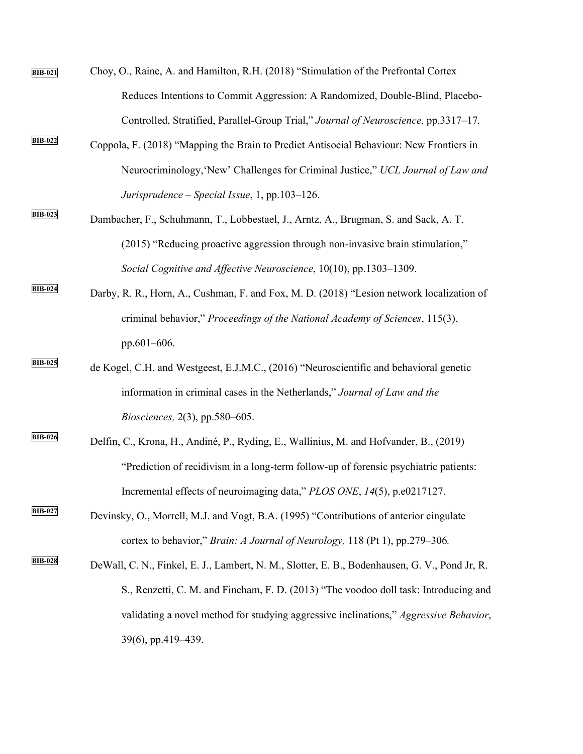- Choy, O., Raine, A. and Hamilton, R.H. (2018) "Stimulation of the Prefrontal Cortex Reduces Intentions to Commit Aggression: A Randomized, Double-Blind, Placebo-Controlled, Stratified, Parallel-Group Trial," *Journal of Neuroscience,* pp.3317–17*.* **BIB-021**
- Coppola, F. (2018) "Mapping the Brain to Predict Antisocial Behaviour: New Frontiers in Neurocriminology,'New' Challenges for Criminal Justice," *UCL Journal of Law and Jurisprudence – Special Issue*, 1, pp.103–126. **BIB-022**
- Dambacher, F., Schuhmann, T., Lobbestael, J., Arntz, A., Brugman, S. and Sack, A. T. (2015) "Reducing proactive aggression through non-invasive brain stimulation," *Social Cognitive and Affective Neuroscience*, 10(10), pp.1303–1309. **BIB-023**
- Darby, R. R., Horn, A., Cushman, F. and Fox, M. D. (2018) "Lesion network localization of criminal behavior," *Proceedings of the National Academy of Sciences*, 115(3), pp.601–606. **BIB-024**
- de Kogel, C.H. and Westgeest, E.J.M.C., (2016) "Neuroscientific and behavioral genetic information in criminal cases in the Netherlands," *Journal of Law and the Biosciences,* 2(3), pp.580–605. **BIB-025**
- Delfin, C., Krona, H., Andiné, P., Ryding, E., Wallinius, M. and Hofvander, B., (2019) "Prediction of recidivism in a long-term follow-up of forensic psychiatric patients: Incremental effects of neuroimaging data," *PLOS ONE*, *14*(5), p.e0217127. **BIB-026**
- Devinsky, O., Morrell, M.J. and Vogt, B.A. (1995) "Contributions of anterior cingulate cortex to behavior," *Brain: A Journal of Neurology,* 118 (Pt 1), pp.279–306*.* **BIB-027**
- DeWall, C. N., Finkel, E. J., Lambert, N. M., Slotter, E. B., Bodenhausen, G. V., Pond Jr, R. S., Renzetti, C. M. and Fincham, F. D. (2013) "The voodoo doll task: Introducing and validating a novel method for studying aggressive inclinations," *Aggressive Behavior*, 39(6), pp.419–439. **BIB-028**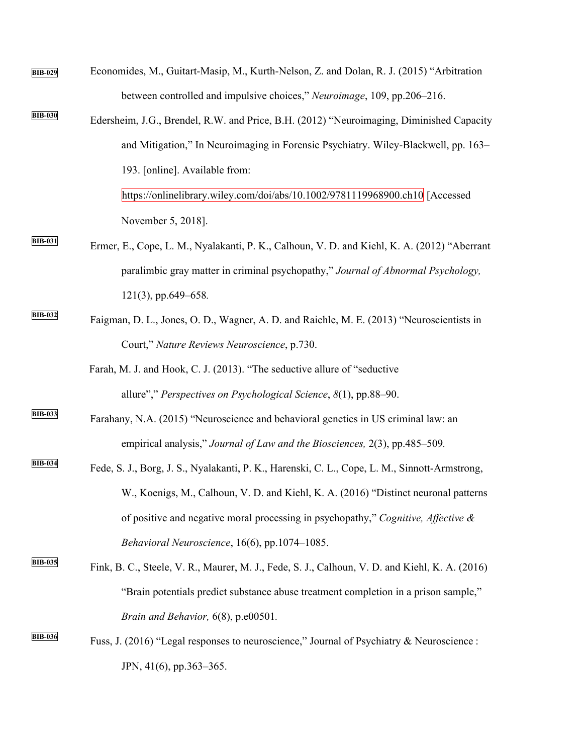- Economides, M., Guitart-Masip, M., Kurth-Nelson, Z. and Dolan, R. J. (2015) "Arbitration between controlled and impulsive choices," *Neuroimage*, 109, pp.206–216. **BIB-029**
- Edersheim, J.G., Brendel, R.W. and Price, B.H. (2012) "Neuroimaging, Diminished Capacity and Mitigation," In Neuroimaging in Forensic Psychiatry. Wiley-Blackwell, pp. 163– 193. [online]. Available from: https://onlinelibrary.wiley.com/doi/abs/10.1002/9781119968900.ch10 [Accessed] **BIB-030**

November 5, 2018].

- Ermer, E., Cope, L. M., Nyalakanti, P. K., Calhoun, V. D. and Kiehl, K. A. (2012) "Aberrant paralimbic gray matter in criminal psychopathy," *Journal of Abnormal Psychology,*  121(3), pp.649–658*.* **BIB-031**
- Faigman, D. L., Jones, O. D., Wagner, A. D. and Raichle, M. E. (2013) "Neuroscientists in Court," *Nature Reviews Neuroscience*, p.730. **BIB-032** 
	- Farah, M. J. and Hook, C. J. (2013). "The seductive allure of "seductive allure"," *Perspectives on Psychological Science*, *8*(1), pp.88–90.
- Farahany, N.A. (2015) "Neuroscience and behavioral genetics in US criminal law: an empirical analysis," *Journal of Law and the Biosciences,* 2(3), pp.485–509*.* **BIB-033**
- Fede, S. J., Borg, J. S., Nyalakanti, P. K., Harenski, C. L., Cope, L. M., Sinnott-Armstrong, W., Koenigs, M., Calhoun, V. D. and Kiehl, K. A. (2016) "Distinct neuronal patterns of positive and negative moral processing in psychopathy," *Cognitive, Affective & Behavioral Neuroscience*, 16(6), pp.1074–1085. **BIB-034**
- Fink, B. C., Steele, V. R., Maurer, M. J., Fede, S. J., Calhoun, V. D. and Kiehl, K. A. (2016) "Brain potentials predict substance abuse treatment completion in a prison sample," *Brain and Behavior,* 6(8), p.e00501*.* **BIB-035**
- Fuss, J. (2016) "Legal responses to neuroscience," Journal of Psychiatry & Neuroscience : JPN, 41(6), pp.363–365. **BIB-036**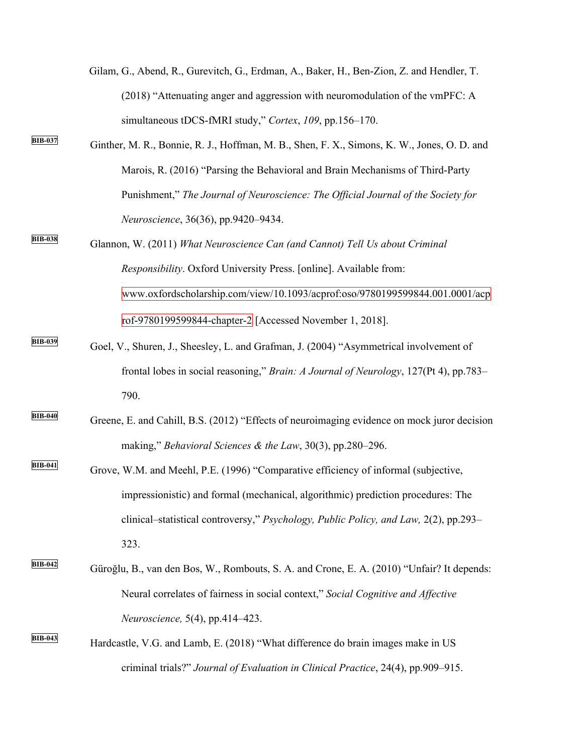- Gilam, G., Abend, R., Gurevitch, G., Erdman, A., Baker, H., Ben-Zion, Z. and Hendler, T. (2018) "Attenuating anger and aggression with neuromodulation of the vmPFC: A simultaneous tDCS-fMRI study," *Cortex*, *109*, pp.156–170.
- Ginther, M. R., Bonnie, R. J., Hoffman, M. B., Shen, F. X., Simons, K. W., Jones, O. D. and Marois, R. (2016) "Parsing the Behavioral and Brain Mechanisms of Third-Party Punishment," *The Journal of Neuroscience: The Official Journal of the Society for Neuroscience*, 36(36), pp.9420–9434. **BIB-037**
- Glannon, W. (2011) *What Neuroscience Can (and Cannot) Tell Us about Criminal Responsibility*. Oxford University Press. [online]. Available from: www.oxfordscholarship.com/view/10.1093/acprof:oso/9780199599844.001.0001/acp rof-9780199599844-chapter-2 [Accessed November 1, 2018]. **BIB-038**
- Goel, V., Shuren, J., Sheesley, L. and Grafman, J. (2004) "Asymmetrical involvement of frontal lobes in social reasoning," *Brain: A Journal of Neurology*, 127(Pt 4), pp.783– 790. **BIB-039**
- Greene, E. and Cahill, B.S. (2012) "Effects of neuroimaging evidence on mock juror decision making," *Behavioral Sciences & the Law*, 30(3), pp.280–296. **BIB-040**
- Grove, W.M. and Meehl, P.E. (1996) "Comparative efficiency of informal (subjective, impressionistic) and formal (mechanical, algorithmic) prediction procedures: The clinical–statistical controversy," *Psychology, Public Policy, and Law,* 2(2), pp.293– 323. **BIB-041**
- Güroğlu, B., van den Bos, W., Rombouts, S. A. and Crone, E. A. (2010) "Unfair? It depends: Neural correlates of fairness in social context," *Social Cognitive and Affective Neuroscience,* 5(4), pp.414–423. **BIB-042**
- Hardcastle, V.G. and Lamb, E. (2018) "What difference do brain images make in US criminal trials?" *Journal of Evaluation in Clinical Practice*, 24(4), pp.909–915. **BIB-043**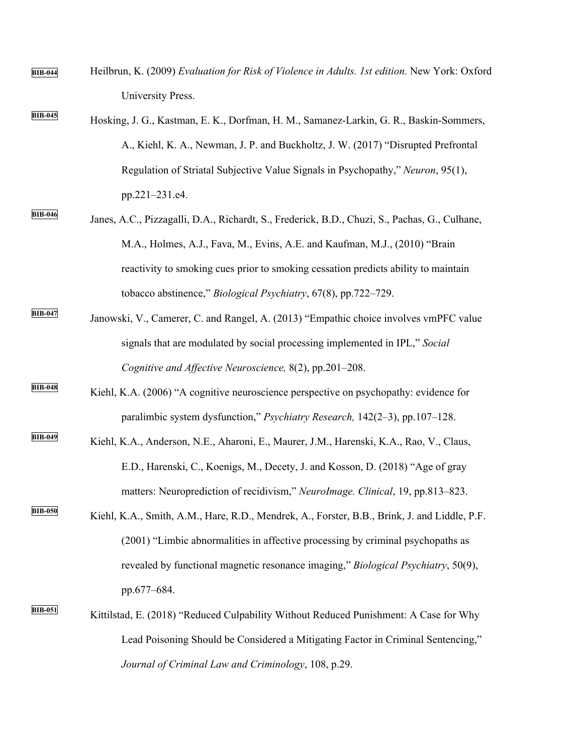- Heilbrun, K. (2009) *Evaluation for Risk of Violence in Adults. 1st edition.* New York: Oxford University Press. **BIB-044**
- Hosking, J. G., Kastman, E. K., Dorfman, H. M., Samanez-Larkin, G. R., Baskin-Sommers, A., Kiehl, K. A., Newman, J. P. and Buckholtz, J. W. (2017) "Disrupted Prefrontal Regulation of Striatal Subjective Value Signals in Psychopathy," *Neuron*, 95(1), pp.221–231.e4. **BIB-045**
- Janes, A.C., Pizzagalli, D.A., Richardt, S., Frederick, B.D., Chuzi, S., Pachas, G., Culhane, M.A., Holmes, A.J., Fava, M., Evins, A.E. and Kaufman, M.J., (2010) "Brain reactivity to smoking cues prior to smoking cessation predicts ability to maintain tobacco abstinence," *Biological Psychiatry*, 67(8), pp.722–729. **BIB-046**
- Janowski, V., Camerer, C. and Rangel, A. (2013) "Empathic choice involves vmPFC value signals that are modulated by social processing implemented in IPL," *Social Cognitive and Affective Neuroscience,* 8(2), pp.201–208. **BIB-047**
- Kiehl, K.A. (2006) "A cognitive neuroscience perspective on psychopathy: evidence for paralimbic system dysfunction," *Psychiatry Research,* 142(2–3), pp.107–128. **BIB-048**
- Kiehl, K.A., Anderson, N.E., Aharoni, E., Maurer, J.M., Harenski, K.A., Rao, V., Claus, E.D., Harenski, C., Koenigs, M., Decety, J. and Kosson, D. (2018) "Age of gray matters: Neuroprediction of recidivism," *NeuroImage. Clinical*, 19, pp.813–823. **BIB-049**
- Kiehl, K.A., Smith, A.M., Hare, R.D., Mendrek, A., Forster, B.B., Brink, J. and Liddle, P.F. (2001) "Limbic abnormalities in affective processing by criminal psychopaths as revealed by functional magnetic resonance imaging," *Biological Psychiatry*, 50(9), pp.677–684. **BIB-050**
- Kittilstad, E. (2018) "Reduced Culpability Without Reduced Punishment: A Case for Why Lead Poisoning Should be Considered a Mitigating Factor in Criminal Sentencing," *Journal of Criminal Law and Criminology*, 108, p.29. **BIB-051**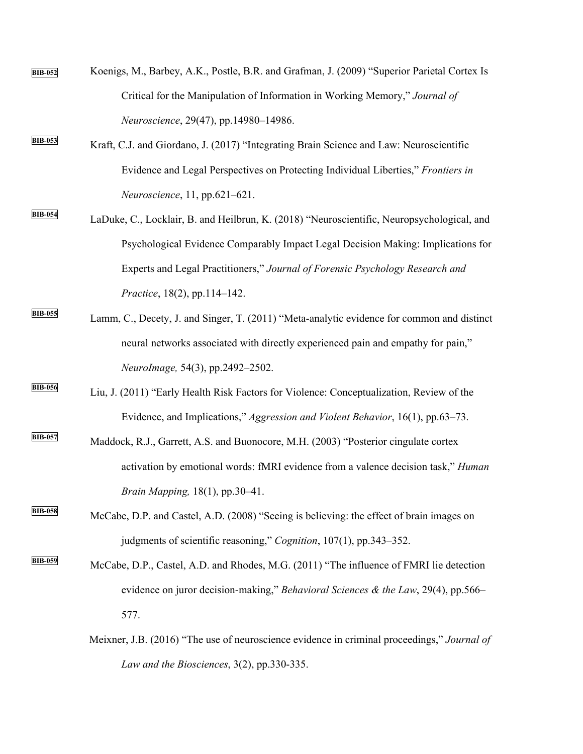- Koenigs, M., Barbey, A.K., Postle, B.R. and Grafman, J. (2009) "Superior Parietal Cortex Is Critical for the Manipulation of Information in Working Memory," *Journal of Neuroscience*, 29(47), pp.14980–14986. **BIB-052**
- Kraft, C.J. and Giordano, J. (2017) "Integrating Brain Science and Law: Neuroscientific Evidence and Legal Perspectives on Protecting Individual Liberties," *Frontiers in Neuroscience*, 11, pp.621–621. **BIB-053**
- LaDuke, C., Locklair, B. and Heilbrun, K. (2018) "Neuroscientific, Neuropsychological, and Psychological Evidence Comparably Impact Legal Decision Making: Implications for Experts and Legal Practitioners," *Journal of Forensic Psychology Research and Practice*, 18(2), pp.114–142. **BIB-054**
- Lamm, C., Decety, J. and Singer, T. (2011) "Meta-analytic evidence for common and distinct neural networks associated with directly experienced pain and empathy for pain," *NeuroImage,* 54(3), pp.2492–2502. **BIB-055**
- Liu, J. (2011) "Early Health Risk Factors for Violence: Conceptualization, Review of the Evidence, and Implications," *Aggression and Violent Behavior*, 16(1), pp.63–73. **BIB-056**
- Maddock, R.J., Garrett, A.S. and Buonocore, M.H. (2003) "Posterior cingulate cortex activation by emotional words: fMRI evidence from a valence decision task," *Human Brain Mapping,* 18(1), pp.30–41. **BIB-057**
- McCabe, D.P. and Castel, A.D. (2008) "Seeing is believing: the effect of brain images on judgments of scientific reasoning," *Cognition*, 107(1), pp.343–352. **BIB-058**
- McCabe, D.P., Castel, A.D. and Rhodes, M.G. (2011) "The influence of FMRI lie detection evidence on juror decision-making," *Behavioral Sciences & the Law*, 29(4), pp.566– 577. **BIB-059** 
	- Meixner, J.B. (2016) "The use of neuroscience evidence in criminal proceedings," *Journal of Law and the Biosciences*, 3(2), pp.330-335.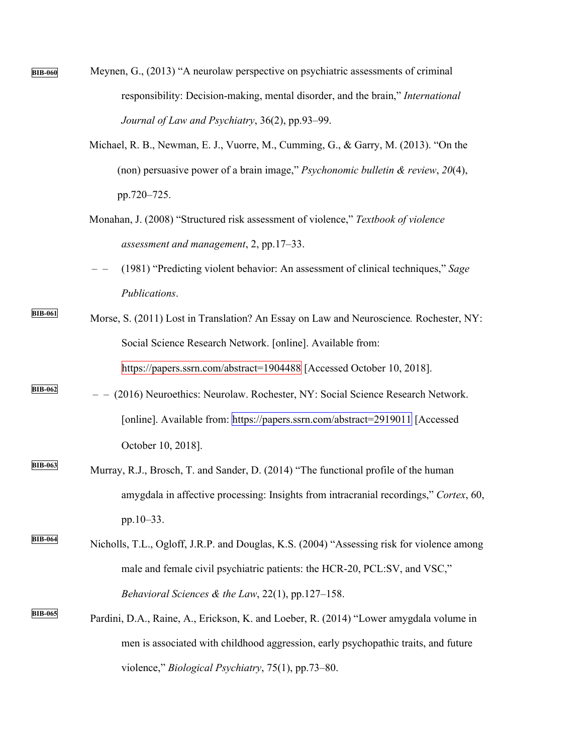- Meynen, G., (2013) "A neurolaw perspective on psychiatric assessments of criminal responsibility: Decision-making, mental disorder, and the brain," *International Journal of Law and Psychiatry*, 36(2), pp.93–99. **BIB-060** 
	- Michael, R. B., Newman, E. J., Vuorre, M., Cumming, G., & Garry, M. (2013). "On the (non) persuasive power of a brain image," *Psychonomic bulletin & review*, *20*(4), pp.720–725.
	- Monahan, J. (2008) "Structured risk assessment of violence," *Textbook of violence assessment and management*, 2, pp.17–33.
	- – (1981) "Predicting violent behavior: An assessment of clinical techniques," *Sage Publications*.
- Morse, S. (2011) Lost in Translation? An Essay on Law and Neuroscience*.* Rochester, NY: Social Science Research Network. [online]. Available from: https://papers.ssrn.com/abstract=1904488 [Accessed October 10, 2018]. **BIB-061**
- – (2016) Neuroethics: Neurolaw. Rochester, NY: Social Science Research Network. [online]. Available from: https://papers.ssrn.com/abstract=2919011 [Accessed October 10, 2018]. **BIB-062**
- Murray, R.J., Brosch, T. and Sander, D. (2014) "The functional profile of the human amygdala in affective processing: Insights from intracranial recordings," *Cortex*, 60, pp.10–33. **BIB-063**
- Nicholls, T.L., Ogloff, J.R.P. and Douglas, K.S. (2004) "Assessing risk for violence among male and female civil psychiatric patients: the HCR-20, PCL:SV, and VSC," *Behavioral Sciences & the Law*, 22(1), pp.127–158. **BIB-064**
- Pardini, D.A., Raine, A., Erickson, K. and Loeber, R. (2014) "Lower amygdala volume in men is associated with childhood aggression, early psychopathic traits, and future violence," *Biological Psychiatry*, 75(1), pp.73–80. **BIB-065**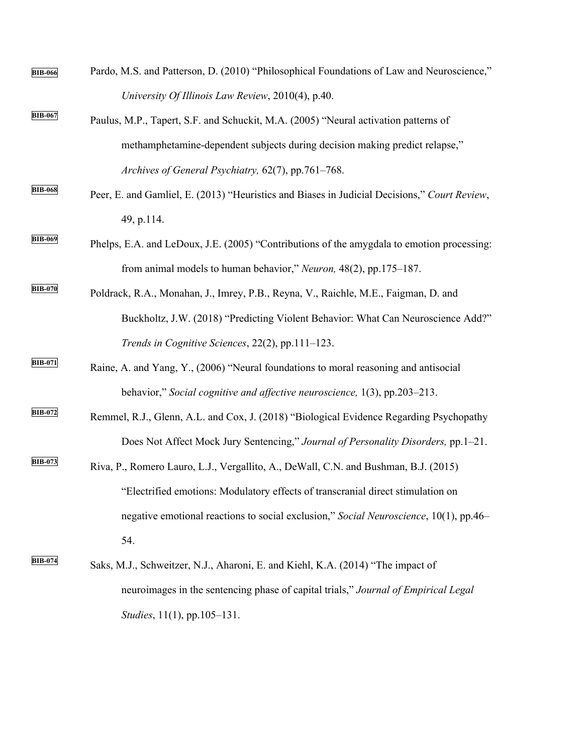- Pardo, M.S. and Patterson, D. (2010) "Philosophical Foundations of Law and Neuroscience," *University Of Illinois Law Review*, 2010(4), p.40. **BIB-066**
- Paulus, M.P., Tapert, S.F. and Schuckit, M.A. (2005) "Neural activation patterns of methamphetamine-dependent subjects during decision making predict relapse," *Archives of General Psychiatry,* 62(7), pp.761–768. **BIB-067**
- Peer, E. and Gamliel, E. (2013) "Heuristics and Biases in Judicial Decisions," *Court Review*, 49, p.114. **BIB-068**
- Phelps, E.A. and LeDoux, J.E. (2005) "Contributions of the amygdala to emotion processing: from animal models to human behavior," *Neuron,* 48(2), pp.175–187. **BIB-069**
- Poldrack, R.A., Monahan, J., Imrey, P.B., Reyna, V., Raichle, M.E., Faigman, D. and Buckholtz, J.W. (2018) "Predicting Violent Behavior: What Can Neuroscience Add?" *Trends in Cognitive Sciences*, 22(2), pp.111–123. **BIB-070**
- Raine, A. and Yang, Y., (2006) "Neural foundations to moral reasoning and antisocial behavior," *Social cognitive and affective neuroscience,* 1(3), pp.203–213. **BIB-071**
- Remmel, R.J., Glenn, A.L. and Cox, J. (2018) "Biological Evidence Regarding Psychopathy Does Not Affect Mock Jury Sentencing," *Journal of Personality Disorders,* pp.1–21. **BIB-072**
- Riva, P., Romero Lauro, L.J., Vergallito, A., DeWall, C.N. and Bushman, B.J. (2015) "Electrified emotions: Modulatory effects of transcranial direct stimulation on negative emotional reactions to social exclusion," *Social Neuroscience*, 10(1), pp.46– 54. **BIB-073**
- Saks, M.J., Schweitzer, N.J., Aharoni, E. and Kiehl, K.A. (2014) "The impact of neuroimages in the sentencing phase of capital trials," *Journal of Empirical Legal Studies*, 11(1), pp.105–131. **BIB-074**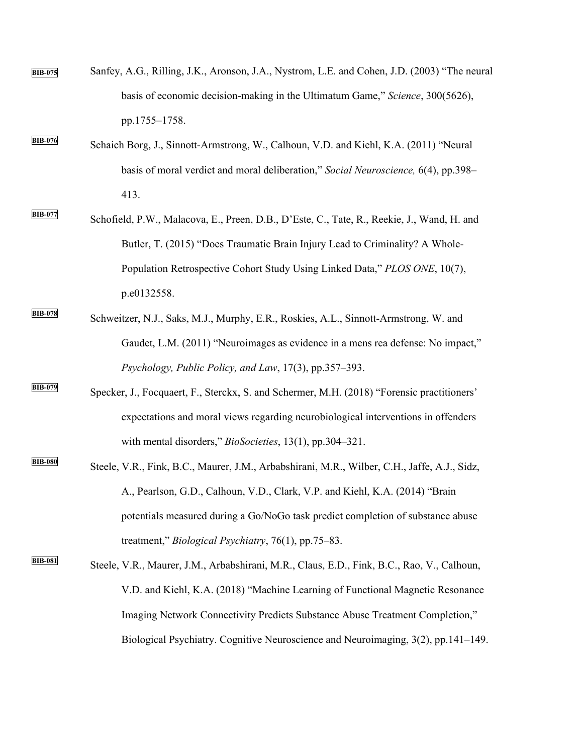- Sanfey, A.G., Rilling, J.K., Aronson, J.A., Nystrom, L.E. and Cohen, J.D. (2003) "The neural basis of economic decision-making in the Ultimatum Game," *Science*, 300(5626), pp.1755–1758. **BIB-075**
- Schaich Borg, J., Sinnott-Armstrong, W., Calhoun, V.D. and Kiehl, K.A. (2011) "Neural basis of moral verdict and moral deliberation," *Social Neuroscience,* 6(4), pp.398– 413. **BIB-076**
- Schofield, P.W., Malacova, E., Preen, D.B., D'Este, C., Tate, R., Reekie, J., Wand, H. and Butler, T. (2015) "Does Traumatic Brain Injury Lead to Criminality? A Whole-Population Retrospective Cohort Study Using Linked Data," *PLOS ONE*, 10(7), p.e0132558. **BIB-077**
- Schweitzer, N.J., Saks, M.J., Murphy, E.R., Roskies, A.L., Sinnott-Armstrong, W. and Gaudet, L.M. (2011) "Neuroimages as evidence in a mens rea defense: No impact," *Psychology, Public Policy, and Law*, 17(3), pp.357–393. **BIB-078**
- Specker, J., Focquaert, F., Sterckx, S. and Schermer, M.H. (2018) "Forensic practitioners' expectations and moral views regarding neurobiological interventions in offenders with mental disorders," *BioSocieties*, 13(1), pp.304–321. **BIB-079**
- Steele, V.R., Fink, B.C., Maurer, J.M., Arbabshirani, M.R., Wilber, C.H., Jaffe, A.J., Sidz, A., Pearlson, G.D., Calhoun, V.D., Clark, V.P. and Kiehl, K.A. (2014) "Brain potentials measured during a Go/NoGo task predict completion of substance abuse treatment," *Biological Psychiatry*, 76(1), pp.75–83. **BIB-080**
- Steele, V.R., Maurer, J.M., Arbabshirani, M.R., Claus, E.D., Fink, B.C., Rao, V., Calhoun, V.D. and Kiehl, K.A. (2018) "Machine Learning of Functional Magnetic Resonance Imaging Network Connectivity Predicts Substance Abuse Treatment Completion," Biological Psychiatry. Cognitive Neuroscience and Neuroimaging, 3(2), pp.141–149. **BIB-081**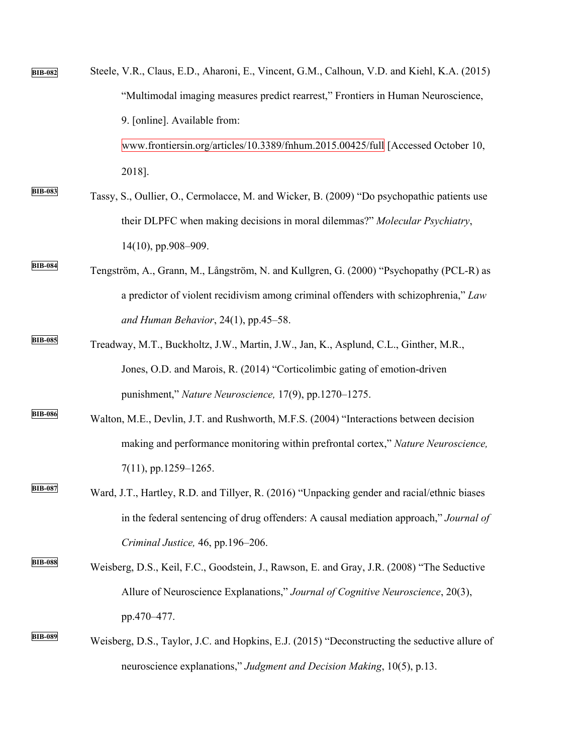Steele, V.R., Claus, E.D., Aharoni, E., Vincent, G.M., Calhoun, V.D. and Kiehl, K.A. (2015) "Multimodal imaging measures predict rearrest," Frontiers in Human Neuroscience, 9. [online]. Available from: www.frontiersin.org/articles/10.3389/fnhum.2015.00425/full [Accessed October 10, **BIB-082** 

2018].

- Tassy, S., Oullier, O., Cermolacce, M. and Wicker, B. (2009) "Do psychopathic patients use their DLPFC when making decisions in moral dilemmas?" *Molecular Psychiatry*, 14(10), pp.908–909. **BIB-083**
- Tengström, A., Grann, M., Långström, N. and Kullgren, G. (2000) "Psychopathy (PCL-R) as a predictor of violent recidivism among criminal offenders with schizophrenia," *Law and Human Behavior*, 24(1), pp.45–58. **BIB-084**
- Treadway, M.T., Buckholtz, J.W., Martin, J.W., Jan, K., Asplund, C.L., Ginther, M.R., Jones, O.D. and Marois, R. (2014) "Corticolimbic gating of emotion-driven punishment," *Nature Neuroscience,* 17(9), pp.1270–1275. **BIB-085**
- Walton, M.E., Devlin, J.T. and Rushworth, M.F.S. (2004) "Interactions between decision making and performance monitoring within prefrontal cortex," *Nature Neuroscience,*  7(11), pp.1259–1265. **BIB-086**
- Ward, J.T., Hartley, R.D. and Tillyer, R. (2016) "Unpacking gender and racial/ethnic biases in the federal sentencing of drug offenders: A causal mediation approach," *Journal of Criminal Justice,* 46, pp.196–206. **BIB-087**
- Weisberg, D.S., Keil, F.C., Goodstein, J., Rawson, E. and Gray, J.R. (2008) "The Seductive Allure of Neuroscience Explanations," *Journal of Cognitive Neuroscience*, 20(3), pp.470–477. **BIB-088**
- Weisberg, D.S., Taylor, J.C. and Hopkins, E.J. (2015) "Deconstructing the seductive allure of neuroscience explanations," *Judgment and Decision Making*, 10(5), p.13. **BIB-089**